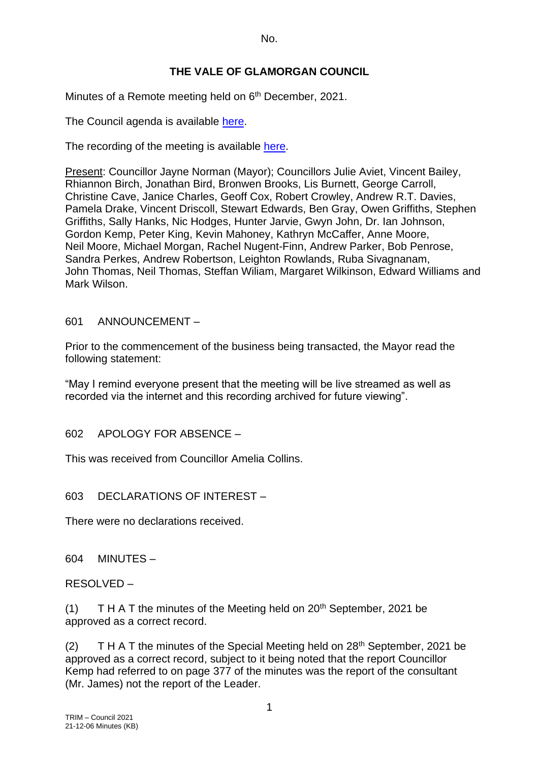No.

## **THE VALE OF GLAMORGAN COUNCIL**

Minutes of a Remote meeting held on 6<sup>th</sup> December, 2021.

The Council agenda is available [here.](https://www.valeofglamorgan.gov.uk/en/our_council/Council-Structure/minutes,_agendas_and_reports/agendas/council/2021/21-12-06.aspx)

The recording of the meeting is available [here.](https://www.youtube.com/watch?v=wxqhN_1lihI&list=PLzt4i14pgqIFIu5GcsMs1g6b5IUR90m5d&index=1&t=10861s)

Present: Councillor Jayne Norman (Mayor); Councillors Julie Aviet, Vincent Bailey, Rhiannon Birch, Jonathan Bird, Bronwen Brooks, Lis Burnett, George Carroll, Christine Cave, Janice Charles, Geoff Cox, Robert Crowley, Andrew R.T. Davies, Pamela Drake, Vincent Driscoll, Stewart Edwards, Ben Gray, Owen Griffiths, Stephen Griffiths, Sally Hanks, Nic Hodges, Hunter Jarvie, Gwyn John, Dr. Ian Johnson, Gordon Kemp, Peter King, Kevin Mahoney, Kathryn McCaffer, Anne Moore, Neil Moore, Michael Morgan, Rachel Nugent-Finn, Andrew Parker, Bob Penrose, Sandra Perkes, Andrew Robertson, Leighton Rowlands, Ruba Sivagnanam, John Thomas, Neil Thomas, Steffan Wiliam, Margaret Wilkinson, Edward Williams and Mark Wilson.

601 ANNOUNCEMENT –

Prior to the commencement of the business being transacted, the Mayor read the following statement:

"May I remind everyone present that the meeting will be live streamed as well as recorded via the internet and this recording archived for future viewing".

602 APOLOGY FOR ABSENCE –

This was received from Councillor Amelia Collins.

603 DECLARATIONS OF INTEREST –

There were no declarations received.

604 MINUTES –

RESOLVED –

(1) T H A T the minutes of the Meeting held on  $20<sup>th</sup>$  September, 2021 be approved as a correct record.

(2) T H A T the minutes of the Special Meeting held on  $28<sup>th</sup>$  September, 2021 be approved as a correct record, subject to it being noted that the report Councillor Kemp had referred to on page 377 of the minutes was the report of the consultant (Mr. James) not the report of the Leader.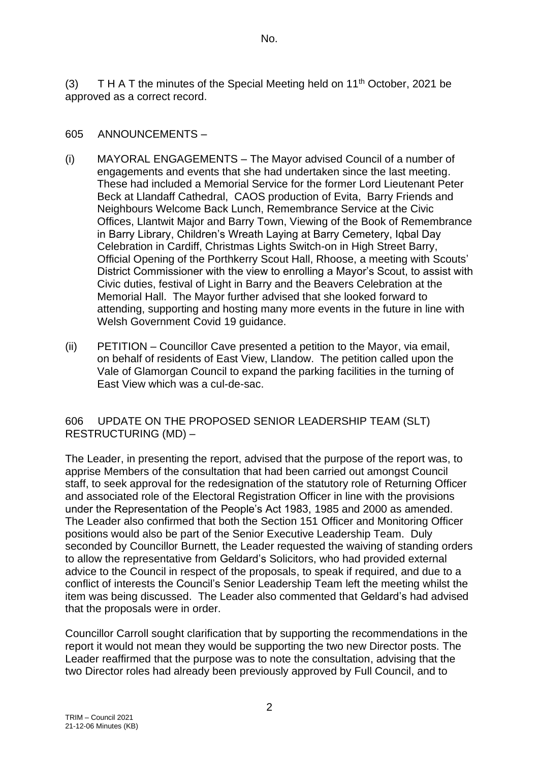No.

(3) T H A T the minutes of the Special Meeting held on  $11<sup>th</sup>$  October, 2021 be approved as a correct record.

### 605 ANNOUNCEMENTS –

- (i) MAYORAL ENGAGEMENTS The Mayor advised Council of a number of engagements and events that she had undertaken since the last meeting. These had included a Memorial Service for the former Lord Lieutenant Peter Beck at Llandaff Cathedral, CAOS production of Evita, Barry Friends and Neighbours Welcome Back Lunch, Remembrance Service at the Civic Offices, Llantwit Major and Barry Town, Viewing of the Book of Remembrance in Barry Library, Children's Wreath Laying at Barry Cemetery, Iqbal Day Celebration in Cardiff, Christmas Lights Switch-on in High Street Barry, Official Opening of the Porthkerry Scout Hall, Rhoose, a meeting with Scouts' District Commissioner with the view to enrolling a Mayor's Scout, to assist with Civic duties, festival of Light in Barry and the Beavers Celebration at the Memorial Hall. The Mayor further advised that she looked forward to attending, supporting and hosting many more events in the future in line with Welsh Government Covid 19 guidance.
- (ii) PETITION Councillor Cave presented a petition to the Mayor, via email, on behalf of residents of East View, Llandow. The petition called upon the Vale of Glamorgan Council to expand the parking facilities in the turning of East View which was a cul-de-sac.

#### 606 UPDATE ON THE PROPOSED SENIOR LEADERSHIP TEAM (SLT) RESTRUCTURING (MD) –

The Leader, in presenting the report, advised that the purpose of the report was, to apprise Members of the consultation that had been carried out amongst Council staff, to seek approval for the redesignation of the statutory role of Returning Officer and associated role of the Electoral Registration Officer in line with the provisions under the Representation of the People's Act 1983, 1985 and 2000 as amended. The Leader also confirmed that both the Section 151 Officer and Monitoring Officer positions would also be part of the Senior Executive Leadership Team. Duly seconded by Councillor Burnett, the Leader requested the waiving of standing orders to allow the representative from Geldard's Solicitors, who had provided external advice to the Council in respect of the proposals, to speak if required, and due to a conflict of interests the Council's Senior Leadership Team left the meeting whilst the item was being discussed. The Leader also commented that Geldard's had advised that the proposals were in order.

Councillor Carroll sought clarification that by supporting the recommendations in the report it would not mean they would be supporting the two new Director posts. The Leader reaffirmed that the purpose was to note the consultation, advising that the two Director roles had already been previously approved by Full Council, and to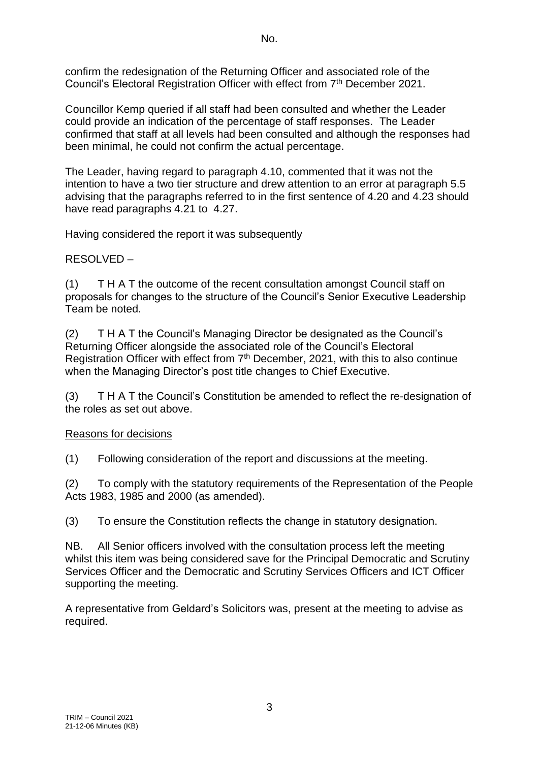confirm the redesignation of the Returning Officer and associated role of the Council's Electoral Registration Officer with effect from 7<sup>th</sup> December 2021.

Councillor Kemp queried if all staff had been consulted and whether the Leader could provide an indication of the percentage of staff responses. The Leader confirmed that staff at all levels had been consulted and although the responses had been minimal, he could not confirm the actual percentage.

The Leader, having regard to paragraph 4.10, commented that it was not the intention to have a two tier structure and drew attention to an error at paragraph 5.5 advising that the paragraphs referred to in the first sentence of 4.20 and 4.23 should have read paragraphs 4.21 to 4.27.

Having considered the report it was subsequently

# RESOLVED –

(1) T H A T the outcome of the recent consultation amongst Council staff on proposals for changes to the structure of the Council's Senior Executive Leadership Team be noted.

(2) T H A T the Council's Managing Director be designated as the Council's Returning Officer alongside the associated role of the Council's Electoral Registration Officer with effect from 7<sup>th</sup> December, 2021, with this to also continue when the Managing Director's post title changes to Chief Executive.

(3) T H A T the Council's Constitution be amended to reflect the re-designation of the roles as set out above.

# Reasons for decisions

(1) Following consideration of the report and discussions at the meeting.

(2) To comply with the statutory requirements of the Representation of the People Acts 1983, 1985 and 2000 (as amended).

(3) To ensure the Constitution reflects the change in statutory designation.

NB. All Senior officers involved with the consultation process left the meeting whilst this item was being considered save for the Principal Democratic and Scrutiny Services Officer and the Democratic and Scrutiny Services Officers and ICT Officer supporting the meeting.

A representative from Geldard's Solicitors was, present at the meeting to advise as required.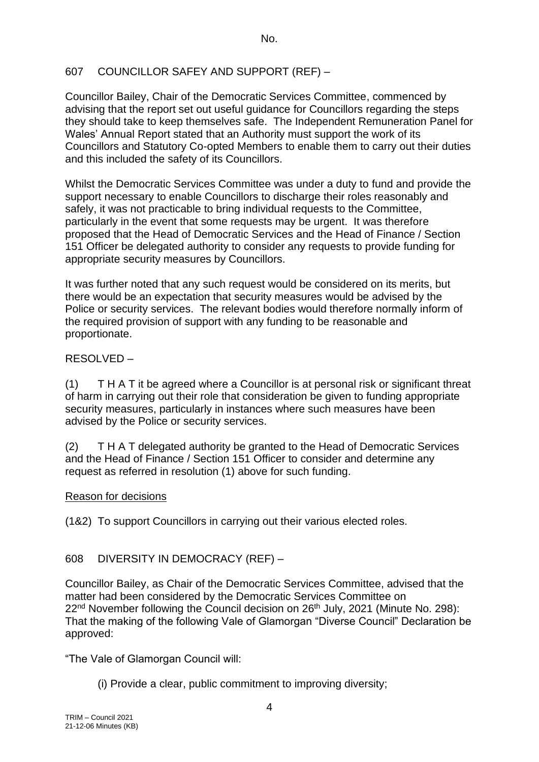# 607 COUNCILLOR SAFEY AND SUPPORT (REF) –

Councillor Bailey, Chair of the Democratic Services Committee, commenced by advising that the report set out useful guidance for Councillors regarding the steps they should take to keep themselves safe. The Independent Remuneration Panel for Wales' Annual Report stated that an Authority must support the work of its Councillors and Statutory Co-opted Members to enable them to carry out their duties and this included the safety of its Councillors.

Whilst the Democratic Services Committee was under a duty to fund and provide the support necessary to enable Councillors to discharge their roles reasonably and safely, it was not practicable to bring individual requests to the Committee, particularly in the event that some requests may be urgent. It was therefore proposed that the Head of Democratic Services and the Head of Finance / Section 151 Officer be delegated authority to consider any requests to provide funding for appropriate security measures by Councillors.

It was further noted that any such request would be considered on its merits, but there would be an expectation that security measures would be advised by the Police or security services. The relevant bodies would therefore normally inform of the required provision of support with any funding to be reasonable and proportionate.

## RESOLVED –

(1) T H A T it be agreed where a Councillor is at personal risk or significant threat of harm in carrying out their role that consideration be given to funding appropriate security measures, particularly in instances where such measures have been advised by the Police or security services.

(2) T H A T delegated authority be granted to the Head of Democratic Services and the Head of Finance / Section 151 Officer to consider and determine any request as referred in resolution (1) above for such funding.

### Reason for decisions

(1&2) To support Councillors in carrying out their various elected roles.

# 608 DIVERSITY IN DEMOCRACY (REF) –

Councillor Bailey, as Chair of the Democratic Services Committee, advised that the matter had been considered by the Democratic Services Committee on 22<sup>nd</sup> November following the Council decision on 26<sup>th</sup> July, 2021 (Minute No. 298): That the making of the following Vale of Glamorgan "Diverse Council" Declaration be approved:

"The Vale of Glamorgan Council will:

(i) Provide a clear, public commitment to improving diversity;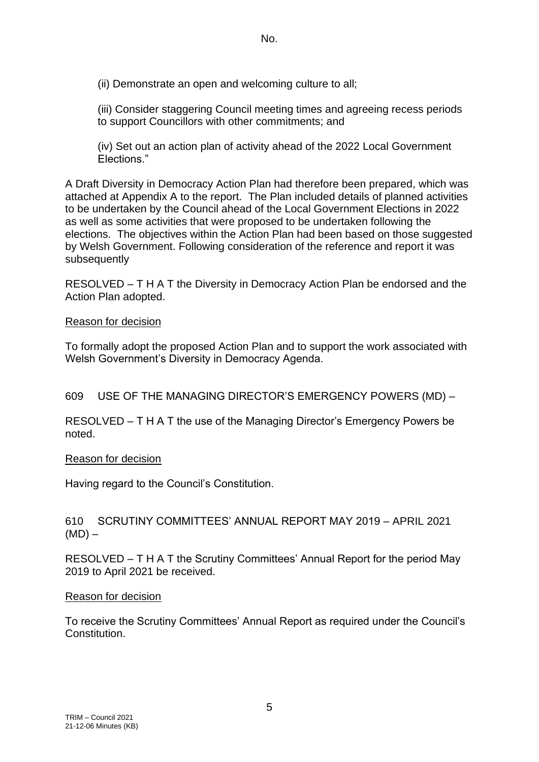(ii) Demonstrate an open and welcoming culture to all;

(iii) Consider staggering Council meeting times and agreeing recess periods to support Councillors with other commitments; and

(iv) Set out an action plan of activity ahead of the 2022 Local Government Elections."

A Draft Diversity in Democracy Action Plan had therefore been prepared, which was attached at Appendix A to the report. The Plan included details of planned activities to be undertaken by the Council ahead of the Local Government Elections in 2022 as well as some activities that were proposed to be undertaken following the elections. The objectives within the Action Plan had been based on those suggested by Welsh Government. Following consideration of the reference and report it was subsequently

RESOLVED – T H A T the Diversity in Democracy Action Plan be endorsed and the Action Plan adopted.

#### Reason for decision

To formally adopt the proposed Action Plan and to support the work associated with Welsh Government's Diversity in Democracy Agenda.

### 609 USE OF THE MANAGING DIRECTOR'S EMERGENCY POWERS (MD) –

RESOLVED – T H A T the use of the Managing Director's Emergency Powers be noted.

#### Reason for decision

Having regard to the Council's Constitution.

610 SCRUTINY COMMITTEES' ANNUAL REPORT MAY 2019 – APRIL 2021  $(MD)$  –

RESOLVED – T H A T the Scrutiny Committees' Annual Report for the period May 2019 to April 2021 be received.

#### Reason for decision

To receive the Scrutiny Committees' Annual Report as required under the Council's Constitution.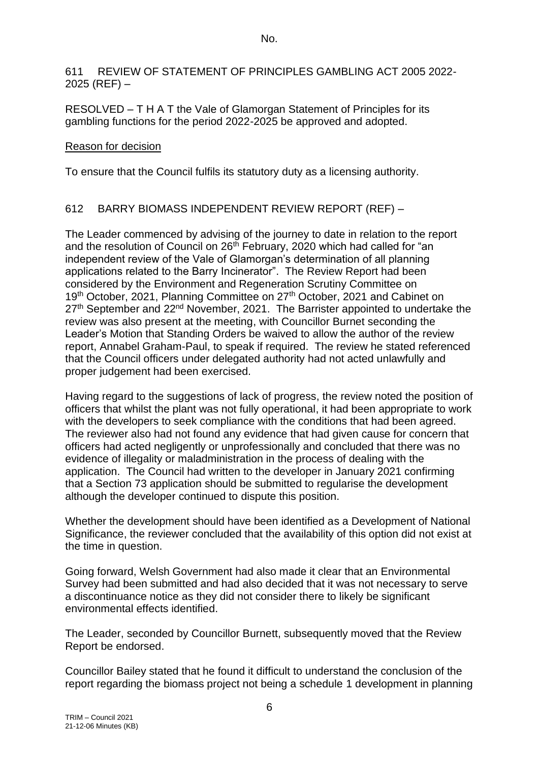No.

611 REVIEW OF STATEMENT OF PRINCIPLES GAMBLING ACT 2005 2022- 2025 (REF) –

RESOLVED – T H A T the Vale of Glamorgan Statement of Principles for its gambling functions for the period 2022-2025 be approved and adopted.

### Reason for decision

To ensure that the Council fulfils its statutory duty as a licensing authority.

# 612 BARRY BIOMASS INDEPENDENT REVIEW REPORT (REF) –

The Leader commenced by advising of the journey to date in relation to the report and the resolution of Council on 26<sup>th</sup> February, 2020 which had called for "an independent review of the Vale of Glamorgan's determination of all planning applications related to the Barry Incinerator". The Review Report had been considered by the Environment and Regeneration Scrutiny Committee on 19<sup>th</sup> October, 2021, Planning Committee on 27<sup>th</sup> October, 2021 and Cabinet on 27<sup>th</sup> September and 22<sup>nd</sup> November, 2021. The Barrister appointed to undertake the review was also present at the meeting, with Councillor Burnet seconding the Leader's Motion that Standing Orders be waived to allow the author of the review report, Annabel Graham-Paul, to speak if required. The review he stated referenced that the Council officers under delegated authority had not acted unlawfully and proper judgement had been exercised.

Having regard to the suggestions of lack of progress, the review noted the position of officers that whilst the plant was not fully operational, it had been appropriate to work with the developers to seek compliance with the conditions that had been agreed. The reviewer also had not found any evidence that had given cause for concern that officers had acted negligently or unprofessionally and concluded that there was no evidence of illegality or maladministration in the process of dealing with the application. The Council had written to the developer in January 2021 confirming that a Section 73 application should be submitted to regularise the development although the developer continued to dispute this position.

Whether the development should have been identified as a Development of National Significance, the reviewer concluded that the availability of this option did not exist at the time in question.

Going forward, Welsh Government had also made it clear that an Environmental Survey had been submitted and had also decided that it was not necessary to serve a discontinuance notice as they did not consider there to likely be significant environmental effects identified.

The Leader, seconded by Councillor Burnett, subsequently moved that the Review Report be endorsed.

Councillor Bailey stated that he found it difficult to understand the conclusion of the report regarding the biomass project not being a schedule 1 development in planning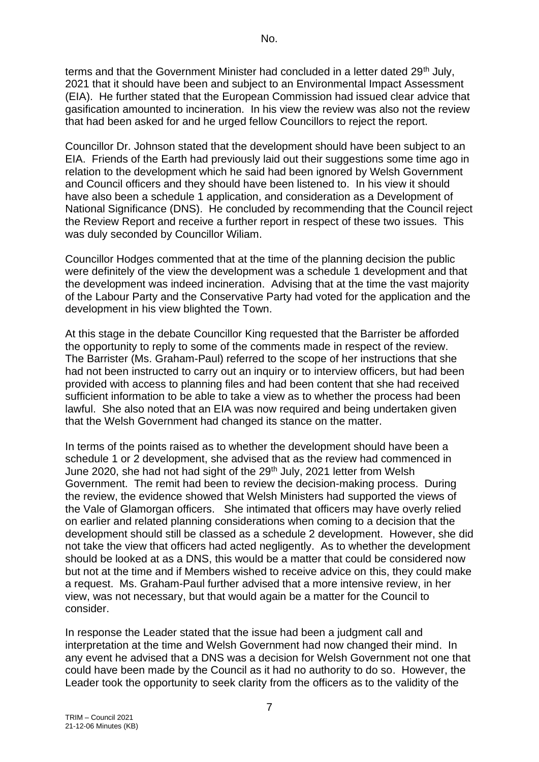terms and that the Government Minister had concluded in a letter dated 29<sup>th</sup> July, 2021 that it should have been and subject to an Environmental Impact Assessment (EIA). He further stated that the European Commission had issued clear advice that gasification amounted to incineration. In his view the review was also not the review that had been asked for and he urged fellow Councillors to reject the report.

Councillor Dr. Johnson stated that the development should have been subject to an EIA. Friends of the Earth had previously laid out their suggestions some time ago in relation to the development which he said had been ignored by Welsh Government and Council officers and they should have been listened to. In his view it should have also been a schedule 1 application, and consideration as a Development of National Significance (DNS). He concluded by recommending that the Council reject the Review Report and receive a further report in respect of these two issues. This was duly seconded by Councillor Wiliam.

Councillor Hodges commented that at the time of the planning decision the public were definitely of the view the development was a schedule 1 development and that the development was indeed incineration. Advising that at the time the vast majority of the Labour Party and the Conservative Party had voted for the application and the development in his view blighted the Town.

At this stage in the debate Councillor King requested that the Barrister be afforded the opportunity to reply to some of the comments made in respect of the review. The Barrister (Ms. Graham-Paul) referred to the scope of her instructions that she had not been instructed to carry out an inquiry or to interview officers, but had been provided with access to planning files and had been content that she had received sufficient information to be able to take a view as to whether the process had been lawful. She also noted that an EIA was now required and being undertaken given that the Welsh Government had changed its stance on the matter.

In terms of the points raised as to whether the development should have been a schedule 1 or 2 development, she advised that as the review had commenced in June 2020, she had not had sight of the 29<sup>th</sup> July, 2021 letter from Welsh Government. The remit had been to review the decision-making process. During the review, the evidence showed that Welsh Ministers had supported the views of the Vale of Glamorgan officers. She intimated that officers may have overly relied on earlier and related planning considerations when coming to a decision that the development should still be classed as a schedule 2 development. However, she did not take the view that officers had acted negligently. As to whether the development should be looked at as a DNS, this would be a matter that could be considered now but not at the time and if Members wished to receive advice on this, they could make a request. Ms. Graham-Paul further advised that a more intensive review, in her view, was not necessary, but that would again be a matter for the Council to consider.

In response the Leader stated that the issue had been a judgment call and interpretation at the time and Welsh Government had now changed their mind. In any event he advised that a DNS was a decision for Welsh Government not one that could have been made by the Council as it had no authority to do so. However, the Leader took the opportunity to seek clarity from the officers as to the validity of the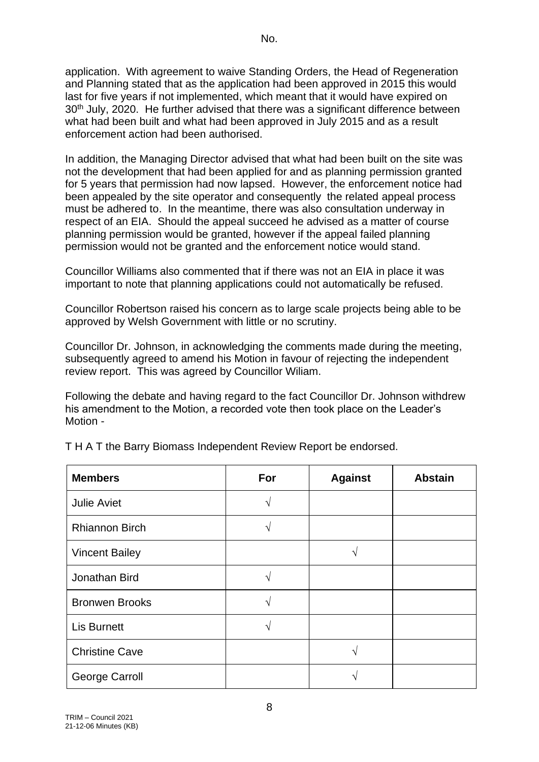application. With agreement to waive Standing Orders, the Head of Regeneration and Planning stated that as the application had been approved in 2015 this would last for five years if not implemented, which meant that it would have expired on 30<sup>th</sup> July, 2020. He further advised that there was a significant difference between what had been built and what had been approved in July 2015 and as a result enforcement action had been authorised.

In addition, the Managing Director advised that what had been built on the site was not the development that had been applied for and as planning permission granted for 5 years that permission had now lapsed. However, the enforcement notice had been appealed by the site operator and consequently the related appeal process must be adhered to. In the meantime, there was also consultation underway in respect of an EIA. Should the appeal succeed he advised as a matter of course planning permission would be granted, however if the appeal failed planning permission would not be granted and the enforcement notice would stand.

Councillor Williams also commented that if there was not an EIA in place it was important to note that planning applications could not automatically be refused.

Councillor Robertson raised his concern as to large scale projects being able to be approved by Welsh Government with little or no scrutiny.

Councillor Dr. Johnson, in acknowledging the comments made during the meeting, subsequently agreed to amend his Motion in favour of rejecting the independent review report. This was agreed by Councillor Wiliam.

Following the debate and having regard to the fact Councillor Dr. Johnson withdrew his amendment to the Motion, a recorded vote then took place on the Leader's Motion -

| <b>Members</b>        | For               | <b>Against</b> | <b>Abstain</b> |
|-----------------------|-------------------|----------------|----------------|
| <b>Julie Aviet</b>    | ٦                 |                |                |
| <b>Rhiannon Birch</b> |                   |                |                |
| <b>Vincent Bailey</b> |                   |                |                |
| Jonathan Bird         |                   |                |                |
| <b>Bronwen Brooks</b> | ٦                 |                |                |
| <b>Lis Burnett</b>    | $\mathbf \Lambda$ |                |                |
| <b>Christine Cave</b> |                   |                |                |
| <b>George Carroll</b> |                   |                |                |

T H A T the Barry Biomass Independent Review Report be endorsed.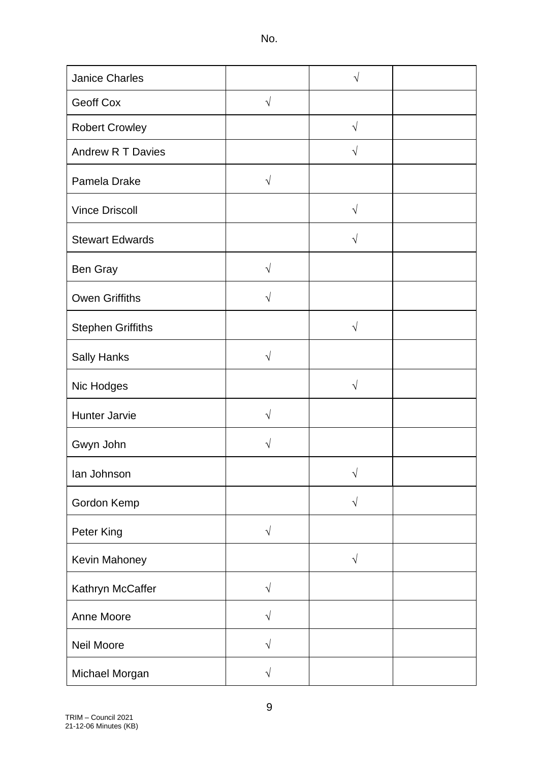No.

| <b>Janice Charles</b>    |            | $\sqrt{}$  |  |
|--------------------------|------------|------------|--|
| Geoff Cox                | $\sqrt{2}$ |            |  |
| <b>Robert Crowley</b>    |            | $\sqrt{ }$ |  |
| Andrew R T Davies        |            | $\sqrt{}$  |  |
| Pamela Drake             | $\sqrt{ }$ |            |  |
| <b>Vince Driscoll</b>    |            | $\sqrt{2}$ |  |
| <b>Stewart Edwards</b>   |            | $\sqrt{}$  |  |
| Ben Gray                 | $\sqrt{}$  |            |  |
| <b>Owen Griffiths</b>    | $\sqrt{}$  |            |  |
| <b>Stephen Griffiths</b> |            | $\sqrt{}$  |  |
| <b>Sally Hanks</b>       | $\sqrt{ }$ |            |  |
| Nic Hodges               |            | $\sqrt{}$  |  |
| <b>Hunter Jarvie</b>     | $\sqrt{}$  |            |  |
| Gwyn John                | V          |            |  |
| lan Johnson              |            | $\sqrt{}$  |  |
| Gordon Kemp              |            | $\sqrt{}$  |  |
| Peter King               | $\sqrt{ }$ |            |  |
| Kevin Mahoney            |            | $\sqrt{}$  |  |
| Kathryn McCaffer         | $\sqrt{ }$ |            |  |
| Anne Moore               | $\sqrt{ }$ |            |  |
| Neil Moore               | $\sqrt{ }$ |            |  |
| Michael Morgan           | $\sqrt{ }$ |            |  |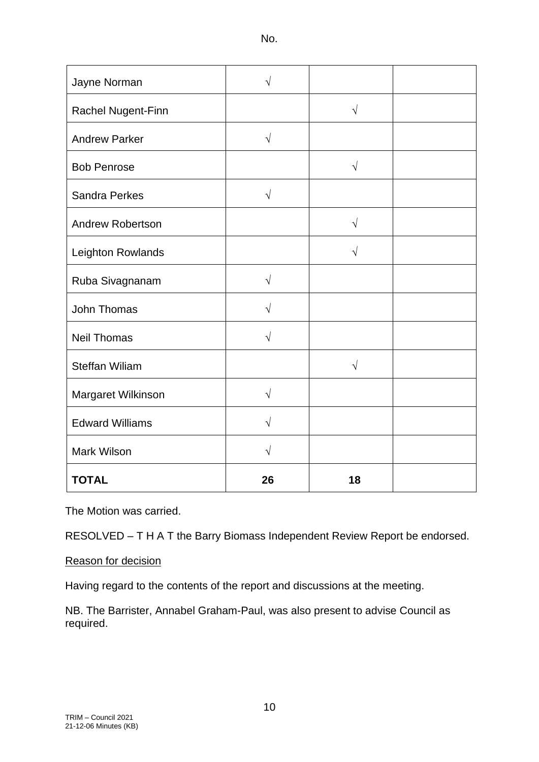No.

| Jayne Norman            | V          |            |  |
|-------------------------|------------|------------|--|
| Rachel Nugent-Finn      |            | $\sqrt{ }$ |  |
| <b>Andrew Parker</b>    | $\sqrt{ }$ |            |  |
| <b>Bob Penrose</b>      |            | $\sqrt{ }$ |  |
| <b>Sandra Perkes</b>    | $\sqrt{}$  |            |  |
| <b>Andrew Robertson</b> |            | $\sqrt{ }$ |  |
| Leighton Rowlands       |            | $\sqrt{}$  |  |
| Ruba Sivagnanam         | $\sqrt{}$  |            |  |
| John Thomas             | $\sqrt{ }$ |            |  |
| <b>Neil Thomas</b>      | $\sqrt{}$  |            |  |
| <b>Steffan Wiliam</b>   |            | $\sqrt{}$  |  |
| Margaret Wilkinson      | $\sqrt{}$  |            |  |
| <b>Edward Williams</b>  | $\sqrt{}$  |            |  |
| Mark Wilson             | V          |            |  |
| <b>TOTAL</b>            | 26         | 18         |  |

The Motion was carried.

RESOLVED – T H A T the Barry Biomass Independent Review Report be endorsed.

### Reason for decision

Having regard to the contents of the report and discussions at the meeting.

NB. The Barrister, Annabel Graham-Paul, was also present to advise Council as required.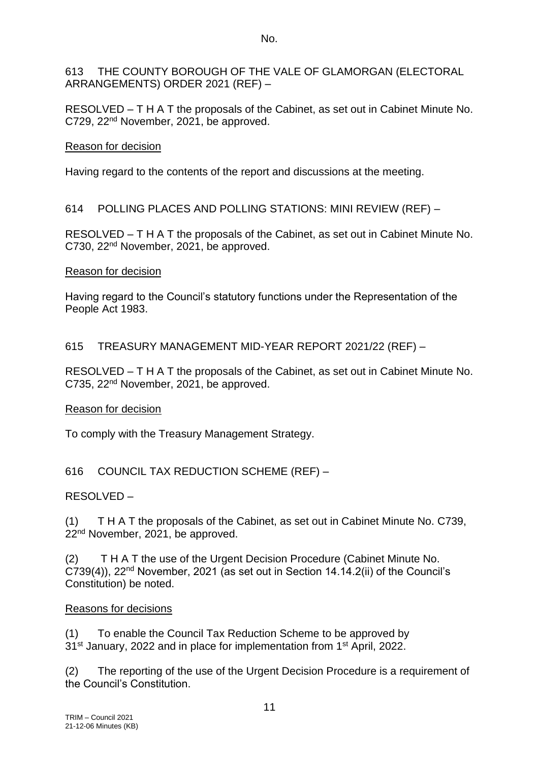#### 613 THE COUNTY BOROUGH OF THE VALE OF GLAMORGAN (ELECTORAL ARRANGEMENTS) ORDER 2021 (REF) –

RESOLVED – T H A T the proposals of the Cabinet, as set out in Cabinet Minute No. C729, 22nd November, 2021, be approved.

### Reason for decision

Having regard to the contents of the report and discussions at the meeting.

# 614 POLLING PLACES AND POLLING STATIONS: MINI REVIEW (REF) –

RESOLVED – T H A T the proposals of the Cabinet, as set out in Cabinet Minute No. C730, 22nd November, 2021, be approved.

### Reason for decision

Having regard to the Council's statutory functions under the Representation of the People Act 1983.

## 615 TREASURY MANAGEMENT MID-YEAR REPORT 2021/22 (REF) –

RESOLVED – T H A T the proposals of the Cabinet, as set out in Cabinet Minute No. C735, 22nd November, 2021, be approved.

### Reason for decision

To comply with the Treasury Management Strategy.

# 616 COUNCIL TAX REDUCTION SCHEME (REF) –

### RESOLVED –

(1) T H A T the proposals of the Cabinet, as set out in Cabinet Minute No. C739, 22<sup>nd</sup> November, 2021, be approved.

(2) T H A T the use of the Urgent Decision Procedure (Cabinet Minute No.  $C739(4)$ ),  $22<sup>nd</sup>$  November, 2021 (as set out in Section 14.14.2(ii) of the Council's Constitution) be noted.

### Reasons for decisions

(1) To enable the Council Tax Reduction Scheme to be approved by 31<sup>st</sup> January, 2022 and in place for implementation from 1<sup>st</sup> April, 2022.

(2) The reporting of the use of the Urgent Decision Procedure is a requirement of the Council's Constitution.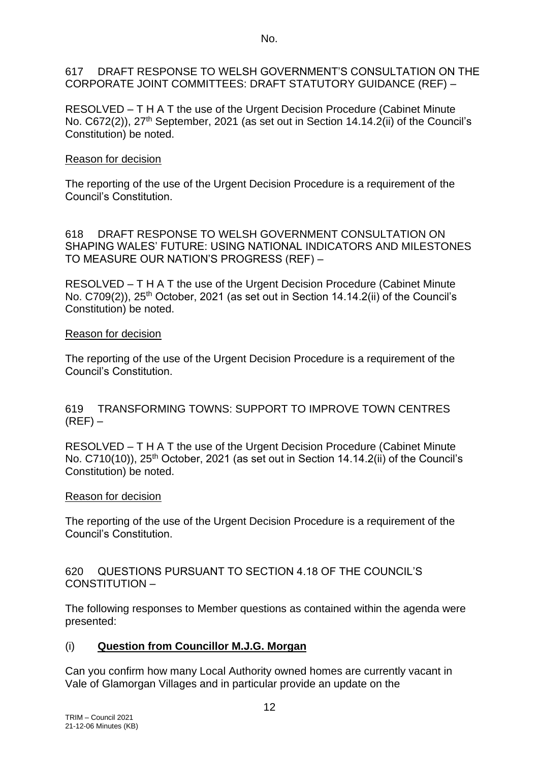No.

617 DRAFT RESPONSE TO WELSH GOVERNMENT'S CONSULTATION ON THE CORPORATE JOINT COMMITTEES: DRAFT STATUTORY GUIDANCE (REF) –

RESOLVED – T H A T the use of the Urgent Decision Procedure (Cabinet Minute No. C672(2)), 27<sup>th</sup> September, 2021 (as set out in Section 14.14.2(ii) of the Council's Constitution) be noted.

#### Reason for decision

The reporting of the use of the Urgent Decision Procedure is a requirement of the Council's Constitution.

618 DRAFT RESPONSE TO WELSH GOVERNMENT CONSULTATION ON SHAPING WALES' FUTURE: USING NATIONAL INDICATORS AND MILESTONES TO MEASURE OUR NATION'S PROGRESS (REF) –

RESOLVED – T H A T the use of the Urgent Decision Procedure (Cabinet Minute No. C709(2)), 25<sup>th</sup> October, 2021 (as set out in Section 14.14.2(ii) of the Council's Constitution) be noted.

#### Reason for decision

The reporting of the use of the Urgent Decision Procedure is a requirement of the Council's Constitution.

619 TRANSFORMING TOWNS: SUPPORT TO IMPROVE TOWN CENTRES  $(REF)$  –

RESOLVED – T H A T the use of the Urgent Decision Procedure (Cabinet Minute No. C710(10)), 25<sup>th</sup> October, 2021 (as set out in Section 14.14.2(ii) of the Council's Constitution) be noted.

#### Reason for decision

The reporting of the use of the Urgent Decision Procedure is a requirement of the Council's Constitution.

620 QUESTIONS PURSUANT TO SECTION 4.18 OF THE COUNCIL'S CONSTITUTION –

The following responses to Member questions as contained within the agenda were presented:

### (i) **Question from Councillor M.J.G. Morgan**

Can you confirm how many Local Authority owned homes are currently vacant in Vale of Glamorgan Villages and in particular provide an update on the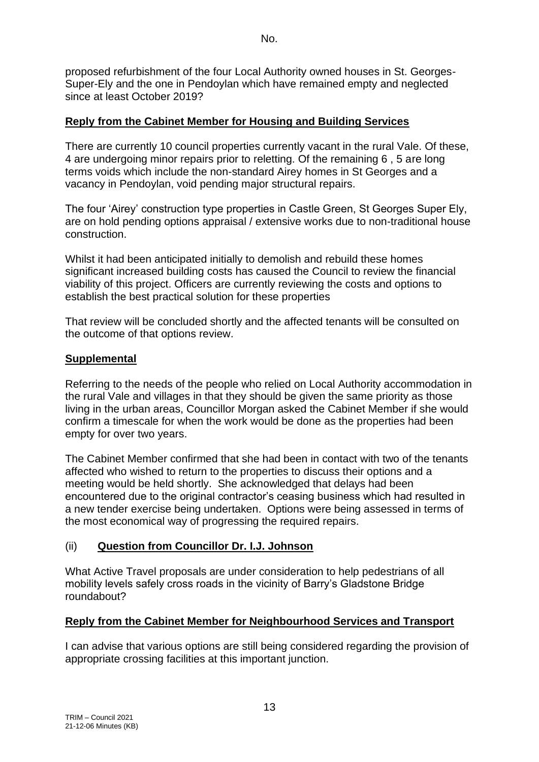proposed refurbishment of the four Local Authority owned houses in St. Georges-Super-Ely and the one in Pendoylan which have remained empty and neglected since at least October 2019?

### **Reply from the Cabinet Member for Housing and Building Services**

There are currently 10 council properties currently vacant in the rural Vale. Of these, 4 are undergoing minor repairs prior to reletting. Of the remaining 6 , 5 are long terms voids which include the non-standard Airey homes in St Georges and a vacancy in Pendoylan, void pending major structural repairs.

The four 'Airey' construction type properties in Castle Green, St Georges Super Ely, are on hold pending options appraisal / extensive works due to non-traditional house construction.

Whilst it had been anticipated initially to demolish and rebuild these homes significant increased building costs has caused the Council to review the financial viability of this project. Officers are currently reviewing the costs and options to establish the best practical solution for these properties

That review will be concluded shortly and the affected tenants will be consulted on the outcome of that options review.

#### **Supplemental**

Referring to the needs of the people who relied on Local Authority accommodation in the rural Vale and villages in that they should be given the same priority as those living in the urban areas, Councillor Morgan asked the Cabinet Member if she would confirm a timescale for when the work would be done as the properties had been empty for over two years.

The Cabinet Member confirmed that she had been in contact with two of the tenants affected who wished to return to the properties to discuss their options and a meeting would be held shortly. She acknowledged that delays had been encountered due to the original contractor's ceasing business which had resulted in a new tender exercise being undertaken. Options were being assessed in terms of the most economical way of progressing the required repairs.

### (ii) **Question from Councillor Dr. I.J. Johnson**

What Active Travel proposals are under consideration to help pedestrians of all mobility levels safely cross roads in the vicinity of Barry's Gladstone Bridge roundabout?

### **Reply from the Cabinet Member for Neighbourhood Services and Transport**

I can advise that various options are still being considered regarding the provision of appropriate crossing facilities at this important junction.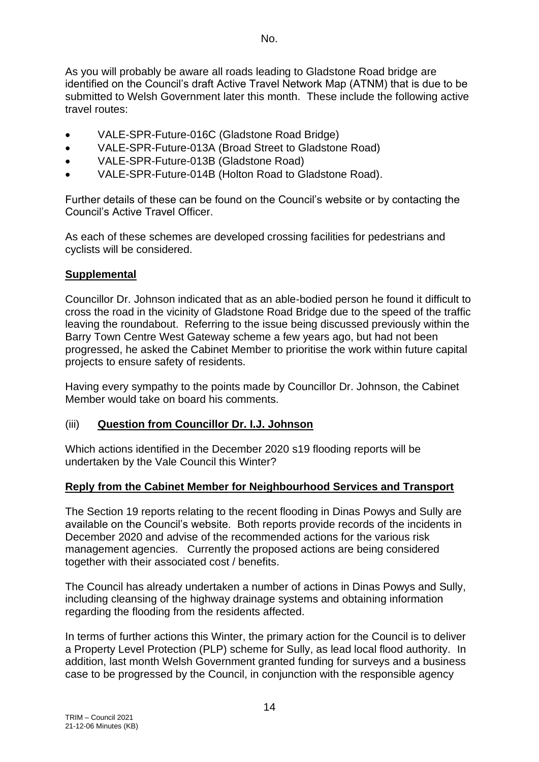As you will probably be aware all roads leading to Gladstone Road bridge are identified on the Council's draft Active Travel Network Map (ATNM) that is due to be submitted to Welsh Government later this month. These include the following active travel routes:

- VALE-SPR-Future-016C (Gladstone Road Bridge)
- VALE-SPR-Future-013A (Broad Street to Gladstone Road)
- VALE-SPR-Future-013B (Gladstone Road)
- VALE-SPR-Future-014B (Holton Road to Gladstone Road).

Further details of these can be found on the Council's website or by contacting the Council's Active Travel Officer.

As each of these schemes are developed crossing facilities for pedestrians and cyclists will be considered.

### **Supplemental**

Councillor Dr. Johnson indicated that as an able-bodied person he found it difficult to cross the road in the vicinity of Gladstone Road Bridge due to the speed of the traffic leaving the roundabout. Referring to the issue being discussed previously within the Barry Town Centre West Gateway scheme a few years ago, but had not been progressed, he asked the Cabinet Member to prioritise the work within future capital projects to ensure safety of residents.

Having every sympathy to the points made by Councillor Dr. Johnson, the Cabinet Member would take on board his comments.

### (iii) **Question from Councillor Dr. I.J. Johnson**

Which actions identified in the December 2020 s19 flooding reports will be undertaken by the Vale Council this Winter?

### **Reply from the Cabinet Member for Neighbourhood Services and Transport**

The Section 19 reports relating to the recent flooding in Dinas Powys and Sully are available on the Council's website. Both reports provide records of the incidents in December 2020 and advise of the recommended actions for the various risk management agencies. Currently the proposed actions are being considered together with their associated cost / benefits.

The Council has already undertaken a number of actions in Dinas Powys and Sully, including cleansing of the highway drainage systems and obtaining information regarding the flooding from the residents affected.

In terms of further actions this Winter, the primary action for the Council is to deliver a Property Level Protection (PLP) scheme for Sully, as lead local flood authority. In addition, last month Welsh Government granted funding for surveys and a business case to be progressed by the Council, in conjunction with the responsible agency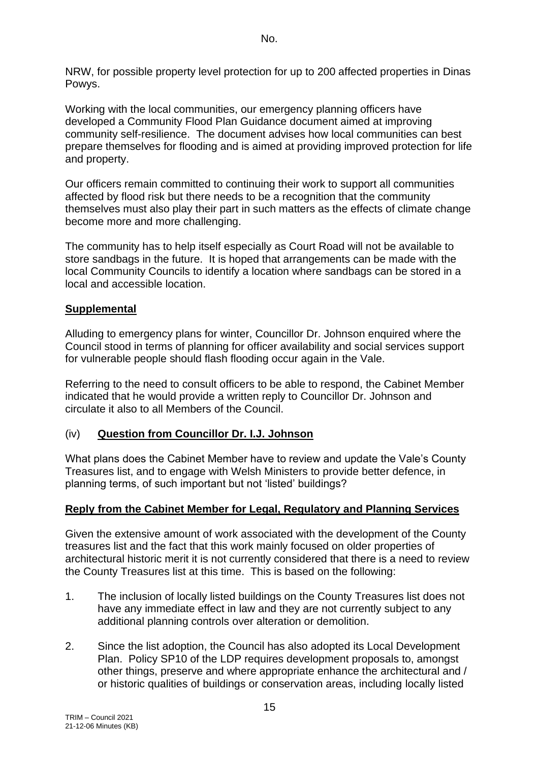NRW, for possible property level protection for up to 200 affected properties in Dinas Powys.

Working with the local communities, our emergency planning officers have developed a Community Flood Plan Guidance document aimed at improving community self-resilience. The document advises how local communities can best prepare themselves for flooding and is aimed at providing improved protection for life and property.

Our officers remain committed to continuing their work to support all communities affected by flood risk but there needs to be a recognition that the community themselves must also play their part in such matters as the effects of climate change become more and more challenging.

The community has to help itself especially as Court Road will not be available to store sandbags in the future. It is hoped that arrangements can be made with the local Community Councils to identify a location where sandbags can be stored in a local and accessible location.

#### **Supplemental**

Alluding to emergency plans for winter, Councillor Dr. Johnson enquired where the Council stood in terms of planning for officer availability and social services support for vulnerable people should flash flooding occur again in the Vale.

Referring to the need to consult officers to be able to respond, the Cabinet Member indicated that he would provide a written reply to Councillor Dr. Johnson and circulate it also to all Members of the Council.

### (iv) **Question from Councillor Dr. I.J. Johnson**

What plans does the Cabinet Member have to review and update the Vale's County Treasures list, and to engage with Welsh Ministers to provide better defence, in planning terms, of such important but not 'listed' buildings?

#### **Reply from the Cabinet Member for Legal, Regulatory and Planning Services**

Given the extensive amount of work associated with the development of the County treasures list and the fact that this work mainly focused on older properties of architectural historic merit it is not currently considered that there is a need to review the County Treasures list at this time. This is based on the following:

- 1. The inclusion of locally listed buildings on the County Treasures list does not have any immediate effect in law and they are not currently subject to any additional planning controls over alteration or demolition.
- 2. Since the list adoption, the Council has also adopted its Local Development Plan. Policy SP10 of the LDP requires development proposals to, amongst other things, preserve and where appropriate enhance the architectural and / or historic qualities of buildings or conservation areas, including locally listed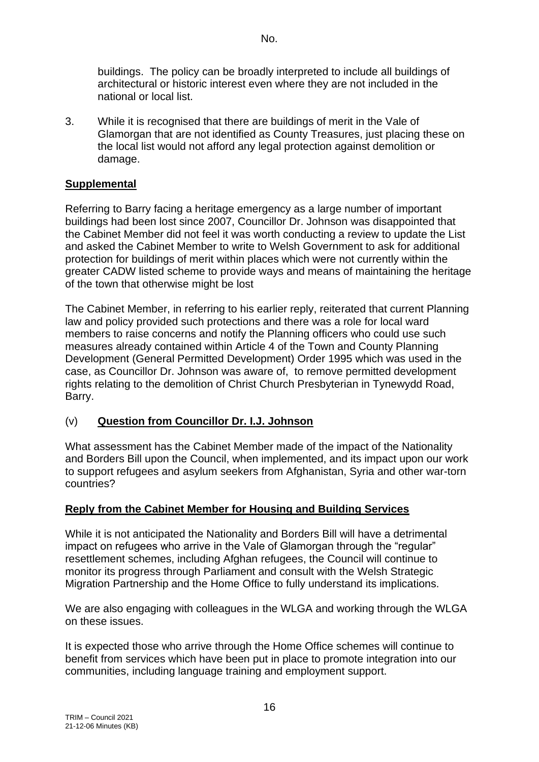buildings. The policy can be broadly interpreted to include all buildings of architectural or historic interest even where they are not included in the national or local list.

3. While it is recognised that there are buildings of merit in the Vale of Glamorgan that are not identified as County Treasures, just placing these on the local list would not afford any legal protection against demolition or damage.

#### **Supplemental**

Referring to Barry facing a heritage emergency as a large number of important buildings had been lost since 2007, Councillor Dr. Johnson was disappointed that the Cabinet Member did not feel it was worth conducting a review to update the List and asked the Cabinet Member to write to Welsh Government to ask for additional protection for buildings of merit within places which were not currently within the greater CADW listed scheme to provide ways and means of maintaining the heritage of the town that otherwise might be lost

The Cabinet Member, in referring to his earlier reply, reiterated that current Planning law and policy provided such protections and there was a role for local ward members to raise concerns and notify the Planning officers who could use such measures already contained within Article 4 of the Town and County Planning Development (General Permitted Development) Order 1995 which was used in the case, as Councillor Dr. Johnson was aware of, to remove permitted development rights relating to the demolition of Christ Church Presbyterian in Tynewydd Road, Barry.

#### (v) **Question from Councillor Dr. I.J. Johnson**

What assessment has the Cabinet Member made of the impact of the Nationality and Borders Bill upon the Council, when implemented, and its impact upon our work to support refugees and asylum seekers from Afghanistan, Syria and other war-torn countries?

#### **Reply from the Cabinet Member for Housing and Building Services**

While it is not anticipated the Nationality and Borders Bill will have a detrimental impact on refugees who arrive in the Vale of Glamorgan through the "regular" resettlement schemes, including Afghan refugees, the Council will continue to monitor its progress through Parliament and consult with the Welsh Strategic Migration Partnership and the Home Office to fully understand its implications.

We are also engaging with colleagues in the WLGA and working through the WLGA on these issues.

It is expected those who arrive through the Home Office schemes will continue to benefit from services which have been put in place to promote integration into our communities, including language training and employment support.

No.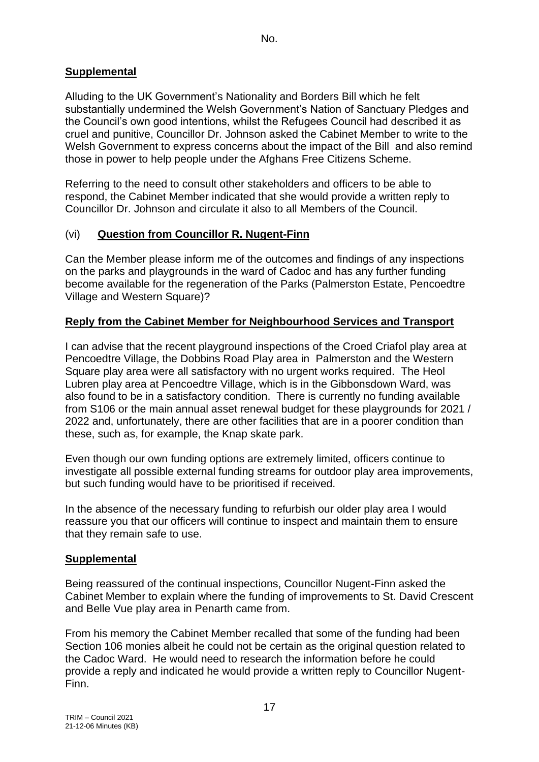# **Supplemental**

Alluding to the UK Government's Nationality and Borders Bill which he felt substantially undermined the Welsh Government's Nation of Sanctuary Pledges and the Council's own good intentions, whilst the Refugees Council had described it as cruel and punitive, Councillor Dr. Johnson asked the Cabinet Member to write to the Welsh Government to express concerns about the impact of the Bill and also remind those in power to help people under the Afghans Free Citizens Scheme.

Referring to the need to consult other stakeholders and officers to be able to respond, the Cabinet Member indicated that she would provide a written reply to Councillor Dr. Johnson and circulate it also to all Members of the Council.

### (vi) **Question from Councillor R. Nugent-Finn**

Can the Member please inform me of the outcomes and findings of any inspections on the parks and playgrounds in the ward of Cadoc and has any further funding become available for the regeneration of the Parks (Palmerston Estate, Pencoedtre Village and Western Square)?

## **Reply from the Cabinet Member for Neighbourhood Services and Transport**

I can advise that the recent playground inspections of the Croed Criafol play area at Pencoedtre Village, the Dobbins Road Play area in Palmerston and the Western Square play area were all satisfactory with no urgent works required. The Heol Lubren play area at Pencoedtre Village, which is in the Gibbonsdown Ward, was also found to be in a satisfactory condition. There is currently no funding available from S106 or the main annual asset renewal budget for these playgrounds for 2021 / 2022 and, unfortunately, there are other facilities that are in a poorer condition than these, such as, for example, the Knap skate park.

Even though our own funding options are extremely limited, officers continue to investigate all possible external funding streams for outdoor play area improvements, but such funding would have to be prioritised if received.

In the absence of the necessary funding to refurbish our older play area I would reassure you that our officers will continue to inspect and maintain them to ensure that they remain safe to use.

### **Supplemental**

Being reassured of the continual inspections, Councillor Nugent-Finn asked the Cabinet Member to explain where the funding of improvements to St. David Crescent and Belle Vue play area in Penarth came from.

From his memory the Cabinet Member recalled that some of the funding had been Section 106 monies albeit he could not be certain as the original question related to the Cadoc Ward. He would need to research the information before he could provide a reply and indicated he would provide a written reply to Councillor Nugent-Finn.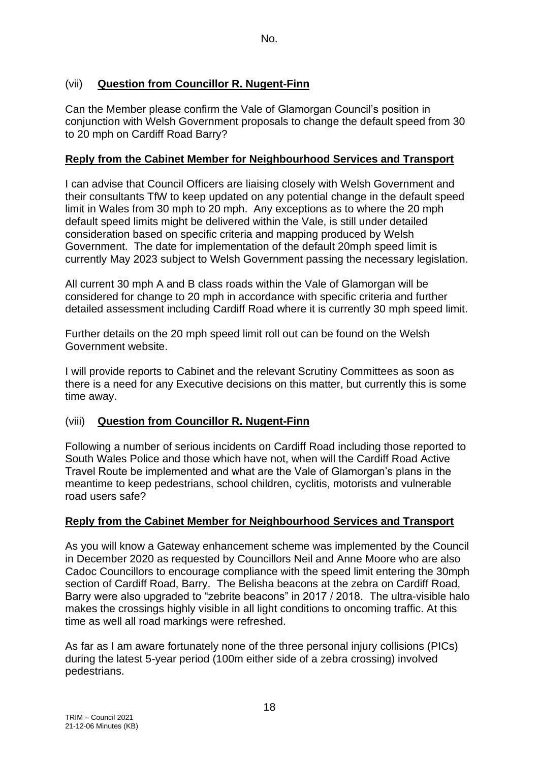## (vii) **Question from Councillor R. Nugent-Finn**

Can the Member please confirm the Vale of Glamorgan Council's position in conjunction with Welsh Government proposals to change the default speed from 30 to 20 mph on Cardiff Road Barry?

### **Reply from the Cabinet Member for Neighbourhood Services and Transport**

I can advise that Council Officers are liaising closely with Welsh Government and their consultants TfW to keep updated on any potential change in the default speed limit in Wales from 30 mph to 20 mph. Any exceptions as to where the 20 mph default speed limits might be delivered within the Vale, is still under detailed consideration based on specific criteria and mapping produced by Welsh Government. The date for implementation of the default 20mph speed limit is currently May 2023 subject to Welsh Government passing the necessary legislation.

All current 30 mph A and B class roads within the Vale of Glamorgan will be considered for change to 20 mph in accordance with specific criteria and further detailed assessment including Cardiff Road where it is currently 30 mph speed limit.

Further details on the 20 mph speed limit roll out can be found on the Welsh Government website.

I will provide reports to Cabinet and the relevant Scrutiny Committees as soon as there is a need for any Executive decisions on this matter, but currently this is some time away.

### (viii) **Question from Councillor R. Nugent-Finn**

Following a number of serious incidents on Cardiff Road including those reported to South Wales Police and those which have not, when will the Cardiff Road Active Travel Route be implemented and what are the Vale of Glamorgan's plans in the meantime to keep pedestrians, school children, cyclitis, motorists and vulnerable road users safe?

### **Reply from the Cabinet Member for Neighbourhood Services and Transport**

As you will know a Gateway enhancement scheme was implemented by the Council in December 2020 as requested by Councillors Neil and Anne Moore who are also Cadoc Councillors to encourage compliance with the speed limit entering the 30mph section of Cardiff Road, Barry. The Belisha beacons at the zebra on Cardiff Road, Barry were also upgraded to "zebrite beacons" in 2017 / 2018. The ultra-visible halo makes the crossings highly visible in all light conditions to oncoming traffic. At this time as well all road markings were refreshed.

As far as I am aware fortunately none of the three personal injury collisions (PICs) during the latest 5-year period (100m either side of a zebra crossing) involved pedestrians.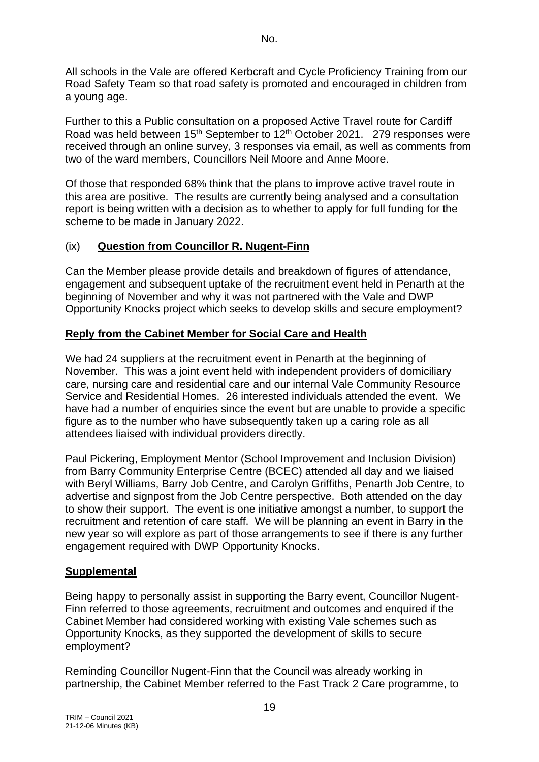All schools in the Vale are offered Kerbcraft and Cycle Proficiency Training from our Road Safety Team so that road safety is promoted and encouraged in children from a young age.

Further to this a Public consultation on a proposed Active Travel route for Cardiff Road was held between 15<sup>th</sup> September to 12<sup>th</sup> October 2021. 279 responses were received through an online survey, 3 responses via email, as well as comments from two of the ward members, Councillors Neil Moore and Anne Moore.

Of those that responded 68% think that the plans to improve active travel route in this area are positive. The results are currently being analysed and a consultation report is being written with a decision as to whether to apply for full funding for the scheme to be made in January 2022.

### (ix) **Question from Councillor R. Nugent-Finn**

Can the Member please provide details and breakdown of figures of attendance, engagement and subsequent uptake of the recruitment event held in Penarth at the beginning of November and why it was not partnered with the Vale and DWP Opportunity Knocks project which seeks to develop skills and secure employment?

### **Reply from the Cabinet Member for Social Care and Health**

We had 24 suppliers at the recruitment event in Penarth at the beginning of November. This was a joint event held with independent providers of domiciliary care, nursing care and residential care and our internal Vale Community Resource Service and Residential Homes. 26 interested individuals attended the event. We have had a number of enquiries since the event but are unable to provide a specific figure as to the number who have subsequently taken up a caring role as all attendees liaised with individual providers directly.

Paul Pickering, Employment Mentor (School Improvement and Inclusion Division) from Barry Community Enterprise Centre (BCEC) attended all day and we liaised with Beryl Williams, Barry Job Centre, and Carolyn Griffiths, Penarth Job Centre, to advertise and signpost from the Job Centre perspective. Both attended on the day to show their support. The event is one initiative amongst a number, to support the recruitment and retention of care staff. We will be planning an event in Barry in the new year so will explore as part of those arrangements to see if there is any further engagement required with DWP Opportunity Knocks.

# **Supplemental**

Being happy to personally assist in supporting the Barry event, Councillor Nugent-Finn referred to those agreements, recruitment and outcomes and enquired if the Cabinet Member had considered working with existing Vale schemes such as Opportunity Knocks, as they supported the development of skills to secure employment?

Reminding Councillor Nugent-Finn that the Council was already working in partnership, the Cabinet Member referred to the Fast Track 2 Care programme, to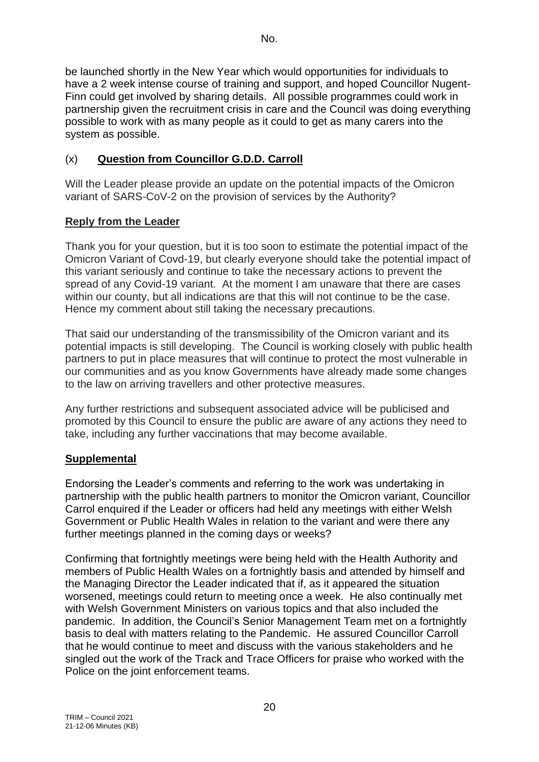be launched shortly in the New Year which would opportunities for individuals to have a 2 week intense course of training and support, and hoped Councillor Nugent-Finn could get involved by sharing details. All possible programmes could work in partnership given the recruitment crisis in care and the Council was doing everything possible to work with as many people as it could to get as many carers into the system as possible.

## (x) **Question from Councillor G.D.D. Carroll**

Will the Leader please provide an update on the potential impacts of the Omicron variant of SARS-CoV-2 on the provision of services by the Authority?

## **Reply from the Leader**

Thank you for your question, but it is too soon to estimate the potential impact of the Omicron Variant of Covd-19, but clearly everyone should take the potential impact of this variant seriously and continue to take the necessary actions to prevent the spread of any Covid-19 variant. At the moment I am unaware that there are cases within our county, but all indications are that this will not continue to be the case. Hence my comment about still taking the necessary precautions.

That said our understanding of the transmissibility of the Omicron variant and its potential impacts is still developing. The Council is working closely with public health partners to put in place measures that will continue to protect the most vulnerable in our communities and as you know Governments have already made some changes to the law on arriving travellers and other protective measures.

Any further restrictions and subsequent associated advice will be publicised and promoted by this Council to ensure the public are aware of any actions they need to take, including any further vaccinations that may become available.

### **Supplemental**

Endorsing the Leader's comments and referring to the work was undertaking in partnership with the public health partners to monitor the Omicron variant, Councillor Carrol enquired if the Leader or officers had held any meetings with either Welsh Government or Public Health Wales in relation to the variant and were there any further meetings planned in the coming days or weeks?

Confirming that fortnightly meetings were being held with the Health Authority and members of Public Health Wales on a fortnightly basis and attended by himself and the Managing Director the Leader indicated that if, as it appeared the situation worsened, meetings could return to meeting once a week. He also continually met with Welsh Government Ministers on various topics and that also included the pandemic. In addition, the Council's Senior Management Team met on a fortnightly basis to deal with matters relating to the Pandemic. He assured Councillor Carroll that he would continue to meet and discuss with the various stakeholders and he singled out the work of the Track and Trace Officers for praise who worked with the Police on the joint enforcement teams.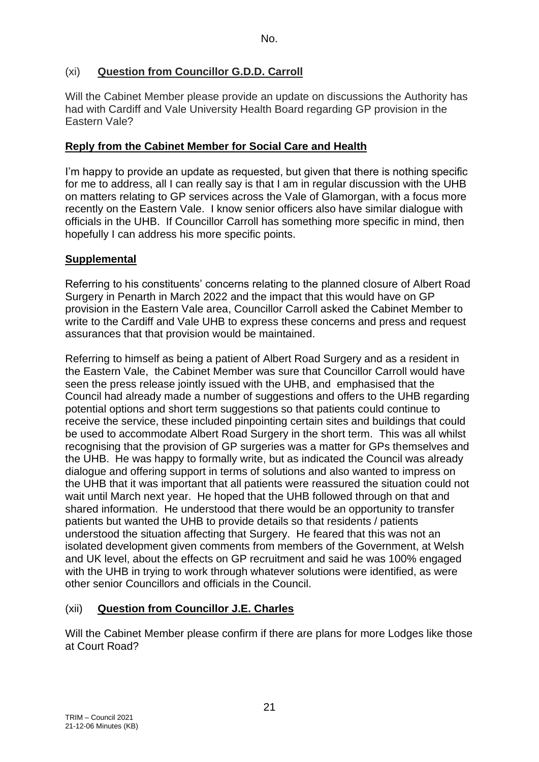## (xi) **Question from Councillor G.D.D. Carroll**

Will the Cabinet Member please provide an update on discussions the Authority has had with Cardiff and Vale University Health Board regarding GP provision in the Eastern Vale?

## **Reply from the Cabinet Member for Social Care and Health**

I'm happy to provide an update as requested, but given that there is nothing specific for me to address, all I can really say is that I am in regular discussion with the UHB on matters relating to GP services across the Vale of Glamorgan, with a focus more recently on the Eastern Vale. I know senior officers also have similar dialogue with officials in the UHB. If Councillor Carroll has something more specific in mind, then hopefully I can address his more specific points.

# **Supplemental**

Referring to his constituents' concerns relating to the planned closure of Albert Road Surgery in Penarth in March 2022 and the impact that this would have on GP provision in the Eastern Vale area, Councillor Carroll asked the Cabinet Member to write to the Cardiff and Vale UHB to express these concerns and press and request assurances that that provision would be maintained.

Referring to himself as being a patient of Albert Road Surgery and as a resident in the Eastern Vale, the Cabinet Member was sure that Councillor Carroll would have seen the press release jointly issued with the UHB, and emphasised that the Council had already made a number of suggestions and offers to the UHB regarding potential options and short term suggestions so that patients could continue to receive the service, these included pinpointing certain sites and buildings that could be used to accommodate Albert Road Surgery in the short term. This was all whilst recognising that the provision of GP surgeries was a matter for GPs themselves and the UHB. He was happy to formally write, but as indicated the Council was already dialogue and offering support in terms of solutions and also wanted to impress on the UHB that it was important that all patients were reassured the situation could not wait until March next year. He hoped that the UHB followed through on that and shared information. He understood that there would be an opportunity to transfer patients but wanted the UHB to provide details so that residents / patients understood the situation affecting that Surgery. He feared that this was not an isolated development given comments from members of the Government, at Welsh and UK level, about the effects on GP recruitment and said he was 100% engaged with the UHB in trying to work through whatever solutions were identified, as were other senior Councillors and officials in the Council.

# (xii) **Question from Councillor J.E. Charles**

Will the Cabinet Member please confirm if there are plans for more Lodges like those at Court Road?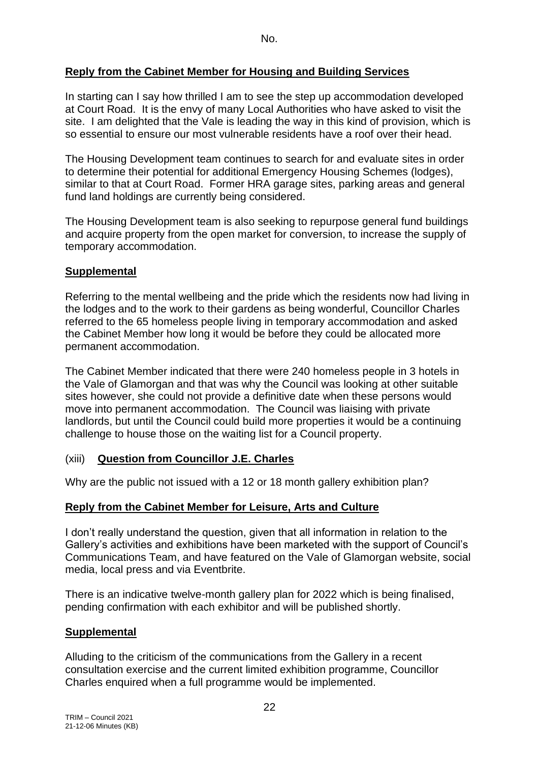### **Reply from the Cabinet Member for Housing and Building Services**

In starting can I say how thrilled I am to see the step up accommodation developed at Court Road. It is the envy of many Local Authorities who have asked to visit the site. I am delighted that the Vale is leading the way in this kind of provision, which is so essential to ensure our most vulnerable residents have a roof over their head.

The Housing Development team continues to search for and evaluate sites in order to determine their potential for additional Emergency Housing Schemes (lodges), similar to that at Court Road. Former HRA garage sites, parking areas and general fund land holdings are currently being considered.

The Housing Development team is also seeking to repurpose general fund buildings and acquire property from the open market for conversion, to increase the supply of temporary accommodation.

### **Supplemental**

Referring to the mental wellbeing and the pride which the residents now had living in the lodges and to the work to their gardens as being wonderful, Councillor Charles referred to the 65 homeless people living in temporary accommodation and asked the Cabinet Member how long it would be before they could be allocated more permanent accommodation.

The Cabinet Member indicated that there were 240 homeless people in 3 hotels in the Vale of Glamorgan and that was why the Council was looking at other suitable sites however, she could not provide a definitive date when these persons would move into permanent accommodation. The Council was liaising with private landlords, but until the Council could build more properties it would be a continuing challenge to house those on the waiting list for a Council property.

### (xiii) **Question from Councillor J.E. Charles**

Why are the public not issued with a 12 or 18 month gallery exhibition plan?

### **Reply from the Cabinet Member for Leisure, Arts and Culture**

I don't really understand the question, given that all information in relation to the Gallery's activities and exhibitions have been marketed with the support of Council's Communications Team, and have featured on the Vale of Glamorgan website, social media, local press and via Eventbrite.

There is an indicative twelve-month gallery plan for 2022 which is being finalised, pending confirmation with each exhibitor and will be published shortly.

### **Supplemental**

Alluding to the criticism of the communications from the Gallery in a recent consultation exercise and the current limited exhibition programme, Councillor Charles enquired when a full programme would be implemented.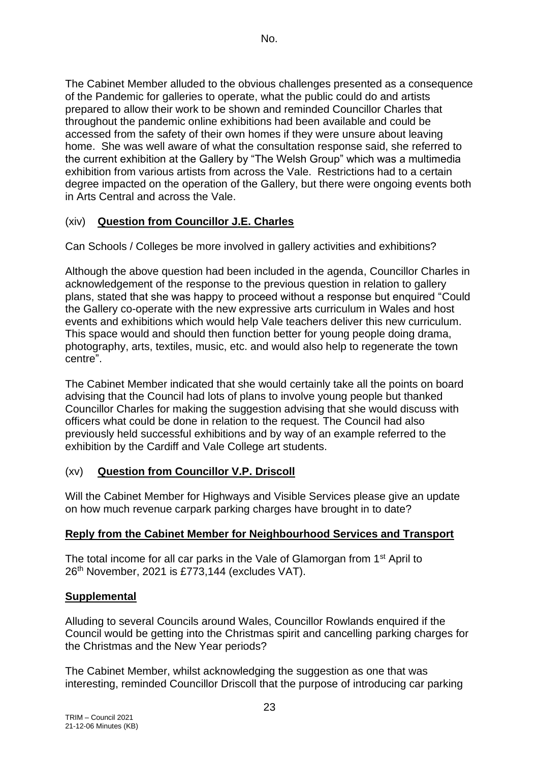The Cabinet Member alluded to the obvious challenges presented as a consequence of the Pandemic for galleries to operate, what the public could do and artists prepared to allow their work to be shown and reminded Councillor Charles that throughout the pandemic online exhibitions had been available and could be accessed from the safety of their own homes if they were unsure about leaving home. She was well aware of what the consultation response said, she referred to the current exhibition at the Gallery by "The Welsh Group" which was a multimedia exhibition from various artists from across the Vale. Restrictions had to a certain degree impacted on the operation of the Gallery, but there were ongoing events both in Arts Central and across the Vale.

# (xiv) **Question from Councillor J.E. Charles**

Can Schools / Colleges be more involved in gallery activities and exhibitions?

Although the above question had been included in the agenda, Councillor Charles in acknowledgement of the response to the previous question in relation to gallery plans, stated that she was happy to proceed without a response but enquired "Could the Gallery co-operate with the new expressive arts curriculum in Wales and host events and exhibitions which would help Vale teachers deliver this new curriculum. This space would and should then function better for young people doing drama, photography, arts, textiles, music, etc. and would also help to regenerate the town centre".

The Cabinet Member indicated that she would certainly take all the points on board advising that the Council had lots of plans to involve young people but thanked Councillor Charles for making the suggestion advising that she would discuss with officers what could be done in relation to the request. The Council had also previously held successful exhibitions and by way of an example referred to the exhibition by the Cardiff and Vale College art students.

# (xv) **Question from Councillor V.P. Driscoll**

Will the Cabinet Member for Highways and Visible Services please give an update on how much revenue carpark parking charges have brought in to date?

# **Reply from the Cabinet Member for Neighbourhood Services and Transport**

The total income for all car parks in the Vale of Glamorgan from 1<sup>st</sup> April to 26<sup>th</sup> November, 2021 is £773,144 (excludes VAT).

# **Supplemental**

Alluding to several Councils around Wales, Councillor Rowlands enquired if the Council would be getting into the Christmas spirit and cancelling parking charges for the Christmas and the New Year periods?

The Cabinet Member, whilst acknowledging the suggestion as one that was interesting, reminded Councillor Driscoll that the purpose of introducing car parking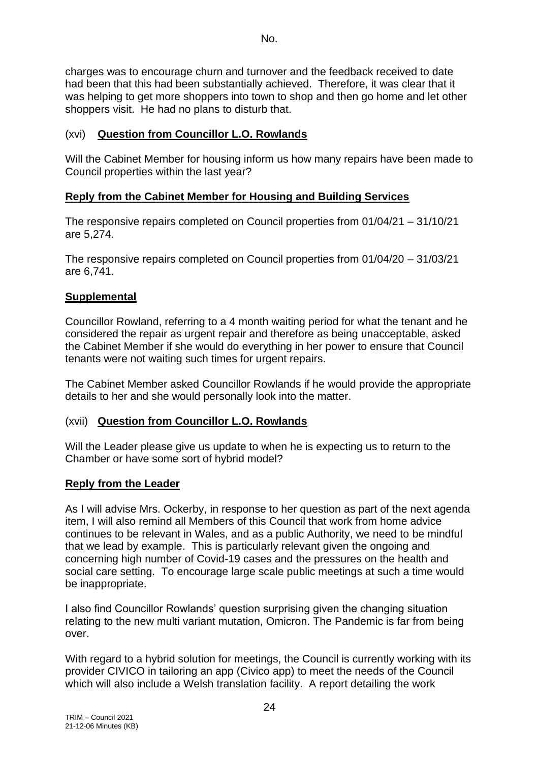charges was to encourage churn and turnover and the feedback received to date had been that this had been substantially achieved. Therefore, it was clear that it was helping to get more shoppers into town to shop and then go home and let other shoppers visit. He had no plans to disturb that.

## (xvi) **Question from Councillor L.O. Rowlands**

Will the Cabinet Member for housing inform us how many repairs have been made to Council properties within the last year?

## **Reply from the Cabinet Member for Housing and Building Services**

The responsive repairs completed on Council properties from 01/04/21 – 31/10/21 are 5,274.

The responsive repairs completed on Council properties from 01/04/20 – 31/03/21 are 6,741.

### **Supplemental**

Councillor Rowland, referring to a 4 month waiting period for what the tenant and he considered the repair as urgent repair and therefore as being unacceptable, asked the Cabinet Member if she would do everything in her power to ensure that Council tenants were not waiting such times for urgent repairs.

The Cabinet Member asked Councillor Rowlands if he would provide the appropriate details to her and she would personally look into the matter.

### (xvii) **Question from Councillor L.O. Rowlands**

Will the Leader please give us update to when he is expecting us to return to the Chamber or have some sort of hybrid model?

### **Reply from the Leader**

As I will advise Mrs. Ockerby, in response to her question as part of the next agenda item, I will also remind all Members of this Council that work from home advice continues to be relevant in Wales, and as a public Authority, we need to be mindful that we lead by example. This is particularly relevant given the ongoing and concerning high number of Covid-19 cases and the pressures on the health and social care setting. To encourage large scale public meetings at such a time would be inappropriate.

I also find Councillor Rowlands' question surprising given the changing situation relating to the new multi variant mutation, Omicron. The Pandemic is far from being over.

With regard to a hybrid solution for meetings, the Council is currently working with its provider CIVICO in tailoring an app (Civico app) to meet the needs of the Council which will also include a Welsh translation facility. A report detailing the work

24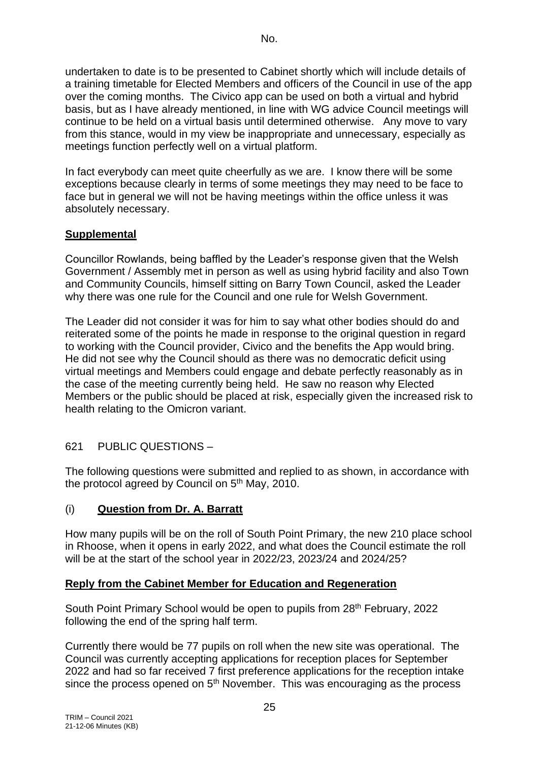undertaken to date is to be presented to Cabinet shortly which will include details of a training timetable for Elected Members and officers of the Council in use of the app over the coming months. The Civico app can be used on both a virtual and hybrid basis, but as I have already mentioned, in line with WG advice Council meetings will continue to be held on a virtual basis until determined otherwise. Any move to vary from this stance, would in my view be inappropriate and unnecessary, especially as meetings function perfectly well on a virtual platform.

In fact everybody can meet quite cheerfully as we are. I know there will be some exceptions because clearly in terms of some meetings they may need to be face to face but in general we will not be having meetings within the office unless it was absolutely necessary.

## **Supplemental**

Councillor Rowlands, being baffled by the Leader's response given that the Welsh Government / Assembly met in person as well as using hybrid facility and also Town and Community Councils, himself sitting on Barry Town Council, asked the Leader why there was one rule for the Council and one rule for Welsh Government.

The Leader did not consider it was for him to say what other bodies should do and reiterated some of the points he made in response to the original question in regard to working with the Council provider, Civico and the benefits the App would bring. He did not see why the Council should as there was no democratic deficit using virtual meetings and Members could engage and debate perfectly reasonably as in the case of the meeting currently being held. He saw no reason why Elected Members or the public should be placed at risk, especially given the increased risk to health relating to the Omicron variant.

### 621 PUBLIC QUESTIONS –

The following questions were submitted and replied to as shown, in accordance with the protocol agreed by Council on 5<sup>th</sup> May, 2010.

### (i) **Question from Dr. A. Barratt**

How many pupils will be on the roll of South Point Primary, the new 210 place school in Rhoose, when it opens in early 2022, and what does the Council estimate the roll will be at the start of the school year in 2022/23, 2023/24 and 2024/25?

### **Reply from the Cabinet Member for Education and Regeneration**

South Point Primary School would be open to pupils from 28th February, 2022 following the end of the spring half term.

Currently there would be 77 pupils on roll when the new site was operational. The Council was currently accepting applications for reception places for September 2022 and had so far received 7 first preference applications for the reception intake since the process opened on  $5<sup>th</sup>$  November. This was encouraging as the process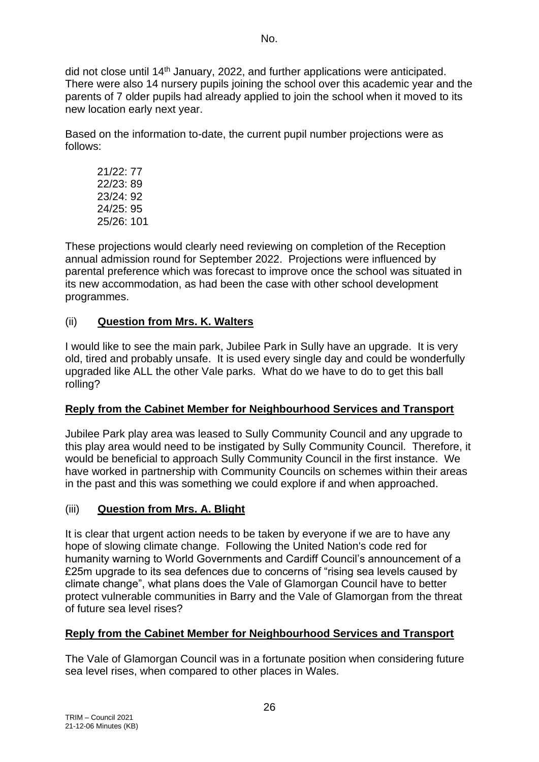did not close until 14<sup>th</sup> January, 2022, and further applications were anticipated. There were also 14 nursery pupils joining the school over this academic year and the parents of 7 older pupils had already applied to join the school when it moved to its new location early next year.

Based on the information to-date, the current pupil number projections were as follows:

21/22: 77 22/23: 89 23/24: 92 24/25: 95 25/26: 101

These projections would clearly need reviewing on completion of the Reception annual admission round for September 2022. Projections were influenced by parental preference which was forecast to improve once the school was situated in its new accommodation, as had been the case with other school development programmes.

# (ii) **Question from Mrs. K. Walters**

I would like to see the main park, Jubilee Park in Sully have an upgrade. It is very old, tired and probably unsafe. It is used every single day and could be wonderfully upgraded like ALL the other Vale parks. What do we have to do to get this ball rolling?

# **Reply from the Cabinet Member for Neighbourhood Services and Transport**

Jubilee Park play area was leased to Sully Community Council and any upgrade to this play area would need to be instigated by Sully Community Council. Therefore, it would be beneficial to approach Sully Community Council in the first instance. We have worked in partnership with Community Councils on schemes within their areas in the past and this was something we could explore if and when approached.

# (iii) **Question from Mrs. A. Blight**

It is clear that urgent action needs to be taken by everyone if we are to have any hope of slowing climate change. Following the United Nation's code red for humanity warning to World Governments and Cardiff Council's announcement of a £25m upgrade to its sea defences due to concerns of "rising sea levels caused by climate change", what plans does the Vale of Glamorgan Council have to better protect vulnerable communities in Barry and the Vale of Glamorgan from the threat of future sea level rises?

# **Reply from the Cabinet Member for Neighbourhood Services and Transport**

The Vale of Glamorgan Council was in a fortunate position when considering future sea level rises, when compared to other places in Wales.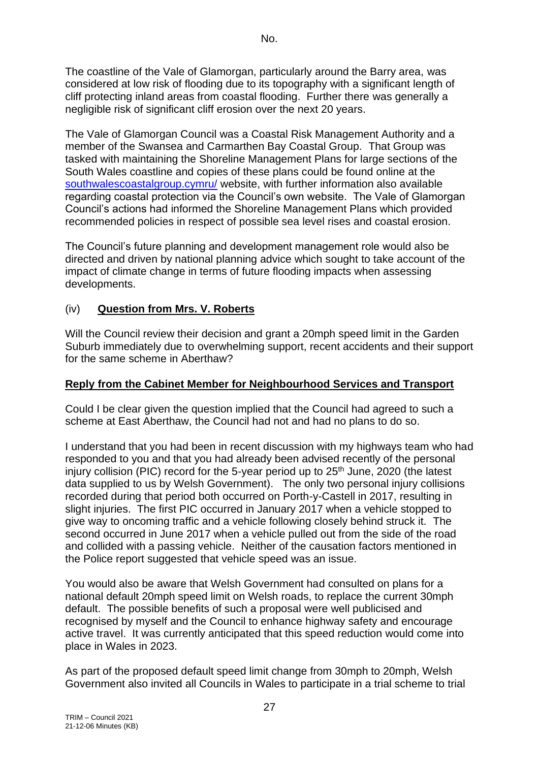The coastline of the Vale of Glamorgan, particularly around the Barry area, was considered at low risk of flooding due to its topography with a significant length of cliff protecting inland areas from coastal flooding. Further there was generally a negligible risk of significant cliff erosion over the next 20 years.

The Vale of Glamorgan Council was a Coastal Risk Management Authority and a member of the Swansea and Carmarthen Bay Coastal Group. That Group was tasked with maintaining the Shoreline Management Plans for large sections of the South Wales coastline and copies of these plans could be found online at the [southwalescoastalgroup.cymru/](https://southwalescoastalgroup.cymru/) website, with further information also available regarding coastal protection via the Council's own website. The Vale of Glamorgan Council's actions had informed the Shoreline Management Plans which provided recommended policies in respect of possible sea level rises and coastal erosion.

The Council's future planning and development management role would also be directed and driven by national planning advice which sought to take account of the impact of climate change in terms of future flooding impacts when assessing developments.

### (iv) **Question from Mrs. V. Roberts**

Will the Council review their decision and grant a 20mph speed limit in the Garden Suburb immediately due to overwhelming support, recent accidents and their support for the same scheme in Aberthaw?

### **Reply from the Cabinet Member for Neighbourhood Services and Transport**

Could I be clear given the question implied that the Council had agreed to such a scheme at East Aberthaw, the Council had not and had no plans to do so.

I understand that you had been in recent discussion with my highways team who had responded to you and that you had already been advised recently of the personal injury collision (PIC) record for the 5-year period up to 25<sup>th</sup> June, 2020 (the latest data supplied to us by Welsh Government). The only two personal injury collisions recorded during that period both occurred on Porth-y-Castell in 2017, resulting in slight injuries. The first PIC occurred in January 2017 when a vehicle stopped to give way to oncoming traffic and a vehicle following closely behind struck it. The second occurred in June 2017 when a vehicle pulled out from the side of the road and collided with a passing vehicle. Neither of the causation factors mentioned in the Police report suggested that vehicle speed was an issue.

You would also be aware that Welsh Government had consulted on plans for a national default 20mph speed limit on Welsh roads, to replace the current 30mph default. The possible benefits of such a proposal were well publicised and recognised by myself and the Council to enhance highway safety and encourage active travel. It was currently anticipated that this speed reduction would come into place in Wales in 2023.

As part of the proposed default speed limit change from 30mph to 20mph, Welsh Government also invited all Councils in Wales to participate in a trial scheme to trial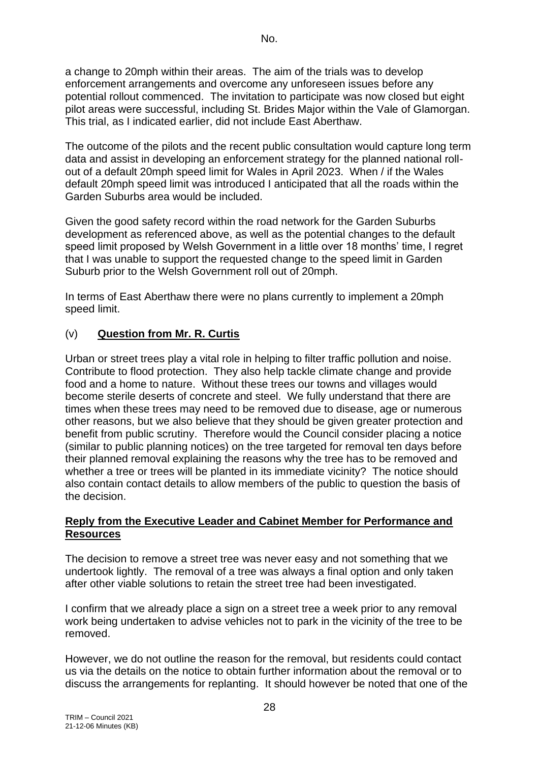a change to 20mph within their areas. The aim of the trials was to develop enforcement arrangements and overcome any unforeseen issues before any potential rollout commenced. The invitation to participate was now closed but eight pilot areas were successful, including St. Brides Major within the Vale of Glamorgan. This trial, as I indicated earlier, did not include East Aberthaw.

The outcome of the pilots and the recent public consultation would capture long term data and assist in developing an enforcement strategy for the planned national rollout of a default 20mph speed limit for Wales in April 2023. When / if the Wales default 20mph speed limit was introduced I anticipated that all the roads within the Garden Suburbs area would be included.

Given the good safety record within the road network for the Garden Suburbs development as referenced above, as well as the potential changes to the default speed limit proposed by Welsh Government in a little over 18 months' time, I regret that I was unable to support the requested change to the speed limit in Garden Suburb prior to the Welsh Government roll out of 20mph.

In terms of East Aberthaw there were no plans currently to implement a 20mph speed limit.

### (v) **Question from Mr. R. Curtis**

Urban or street trees play a vital role in helping to filter traffic pollution and noise. Contribute to flood protection. They also help tackle climate change and provide food and a home to nature. Without these trees our towns and villages would become sterile deserts of concrete and steel. We fully understand that there are times when these trees may need to be removed due to disease, age or numerous other reasons, but we also believe that they should be given greater protection and benefit from public scrutiny. Therefore would the Council consider placing a notice (similar to public planning notices) on the tree targeted for removal ten days before their planned removal explaining the reasons why the tree has to be removed and whether a tree or trees will be planted in its immediate vicinity? The notice should also contain contact details to allow members of the public to question the basis of the decision.

#### **Reply from the Executive Leader and Cabinet Member for Performance and Resources**

The decision to remove a street tree was never easy and not something that we undertook lightly. The removal of a tree was always a final option and only taken after other viable solutions to retain the street tree had been investigated.

I confirm that we already place a sign on a street tree a week prior to any removal work being undertaken to advise vehicles not to park in the vicinity of the tree to be removed.

However, we do not outline the reason for the removal, but residents could contact us via the details on the notice to obtain further information about the removal or to discuss the arrangements for replanting. It should however be noted that one of the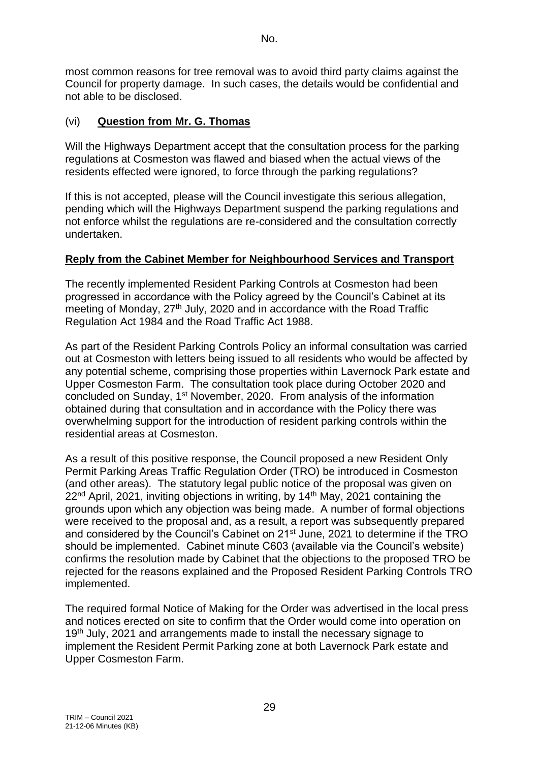most common reasons for tree removal was to avoid third party claims against the Council for property damage. In such cases, the details would be confidential and not able to be disclosed.

### (vi) **Question from Mr. G. Thomas**

Will the Highways Department accept that the consultation process for the parking regulations at Cosmeston was flawed and biased when the actual views of the residents effected were ignored, to force through the parking regulations?

If this is not accepted, please will the Council investigate this serious allegation, pending which will the Highways Department suspend the parking regulations and not enforce whilst the regulations are re-considered and the consultation correctly undertaken.

## **Reply from the Cabinet Member for Neighbourhood Services and Transport**

The recently implemented Resident Parking Controls at Cosmeston had been progressed in accordance with the Policy agreed by the Council's Cabinet at its meeting of Monday, 27<sup>th</sup> July, 2020 and in accordance with the Road Traffic Regulation Act 1984 and the Road Traffic Act 1988.

As part of the Resident Parking Controls Policy an informal consultation was carried out at Cosmeston with letters being issued to all residents who would be affected by any potential scheme, comprising those properties within Lavernock Park estate and Upper Cosmeston Farm. The consultation took place during October 2020 and concluded on Sunday, 1st November, 2020. From analysis of the information obtained during that consultation and in accordance with the Policy there was overwhelming support for the introduction of resident parking controls within the residential areas at Cosmeston.

As a result of this positive response, the Council proposed a new Resident Only Permit Parking Areas Traffic Regulation Order (TRO) be introduced in Cosmeston (and other areas). The statutory legal public notice of the proposal was given on 22<sup>nd</sup> April, 2021, inviting objections in writing, by 14<sup>th</sup> May, 2021 containing the grounds upon which any objection was being made. A number of formal objections were received to the proposal and, as a result, a report was subsequently prepared and considered by the Council's Cabinet on 21<sup>st</sup> June, 2021 to determine if the TRO should be implemented. Cabinet minute C603 (available via the Council's website) confirms the resolution made by Cabinet that the objections to the proposed TRO be rejected for the reasons explained and the Proposed Resident Parking Controls TRO implemented.

The required formal Notice of Making for the Order was advertised in the local press and notices erected on site to confirm that the Order would come into operation on 19<sup>th</sup> July, 2021 and arrangements made to install the necessary signage to implement the Resident Permit Parking zone at both Lavernock Park estate and Upper Cosmeston Farm.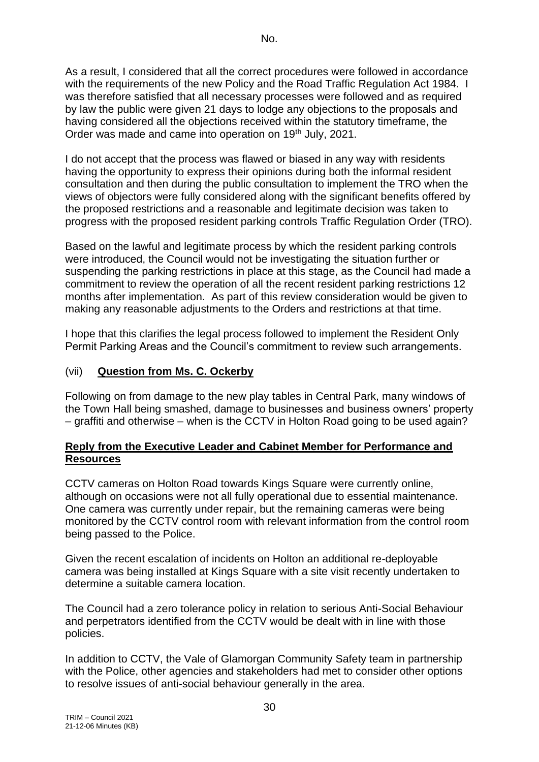As a result, I considered that all the correct procedures were followed in accordance with the requirements of the new Policy and the Road Traffic Regulation Act 1984. I was therefore satisfied that all necessary processes were followed and as required by law the public were given 21 days to lodge any objections to the proposals and having considered all the objections received within the statutory timeframe, the Order was made and came into operation on 19<sup>th</sup> July, 2021.

I do not accept that the process was flawed or biased in any way with residents having the opportunity to express their opinions during both the informal resident consultation and then during the public consultation to implement the TRO when the views of objectors were fully considered along with the significant benefits offered by the proposed restrictions and a reasonable and legitimate decision was taken to progress with the proposed resident parking controls Traffic Regulation Order (TRO).

Based on the lawful and legitimate process by which the resident parking controls were introduced, the Council would not be investigating the situation further or suspending the parking restrictions in place at this stage, as the Council had made a commitment to review the operation of all the recent resident parking restrictions 12 months after implementation. As part of this review consideration would be given to making any reasonable adjustments to the Orders and restrictions at that time.

I hope that this clarifies the legal process followed to implement the Resident Only Permit Parking Areas and the Council's commitment to review such arrangements.

### (vii) **Question from Ms. C. Ockerby**

Following on from damage to the new play tables in Central Park, many windows of the Town Hall being smashed, damage to businesses and business owners' property – graffiti and otherwise – when is the CCTV in Holton Road going to be used again?

#### **Reply from the Executive Leader and Cabinet Member for Performance and Resources**

CCTV cameras on Holton Road towards Kings Square were currently online, although on occasions were not all fully operational due to essential maintenance. One camera was currently under repair, but the remaining cameras were being monitored by the CCTV control room with relevant information from the control room being passed to the Police.

Given the recent escalation of incidents on Holton an additional re-deployable camera was being installed at Kings Square with a site visit recently undertaken to determine a suitable camera location.

The Council had a zero tolerance policy in relation to serious Anti-Social Behaviour and perpetrators identified from the CCTV would be dealt with in line with those policies.

In addition to CCTV, the Vale of Glamorgan Community Safety team in partnership with the Police, other agencies and stakeholders had met to consider other options to resolve issues of anti-social behaviour generally in the area.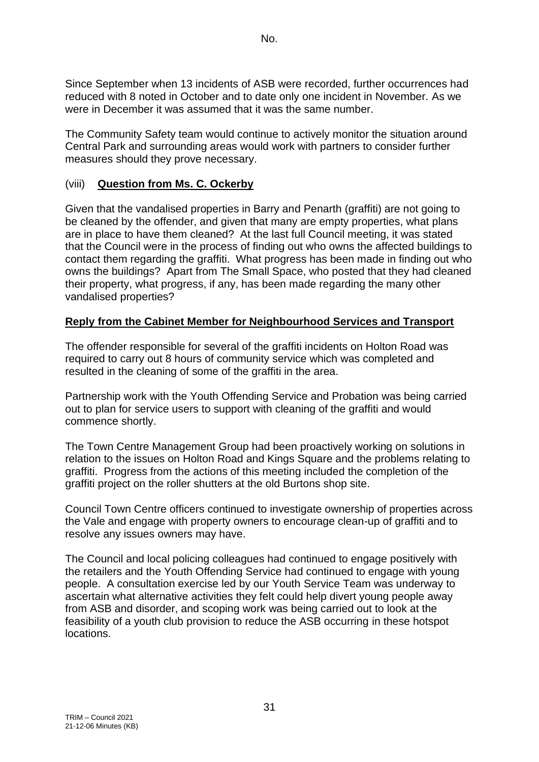Since September when 13 incidents of ASB were recorded, further occurrences had reduced with 8 noted in October and to date only one incident in November. As we were in December it was assumed that it was the same number.

The Community Safety team would continue to actively monitor the situation around Central Park and surrounding areas would work with partners to consider further measures should they prove necessary.

### (viii) **Question from Ms. C. Ockerby**

Given that the vandalised properties in Barry and Penarth (graffiti) are not going to be cleaned by the offender, and given that many are empty properties, what plans are in place to have them cleaned? At the last full Council meeting, it was stated that the Council were in the process of finding out who owns the affected buildings to contact them regarding the graffiti. What progress has been made in finding out who owns the buildings? Apart from The Small Space, who posted that they had cleaned their property, what progress, if any, has been made regarding the many other vandalised properties?

### **Reply from the Cabinet Member for Neighbourhood Services and Transport**

The offender responsible for several of the graffiti incidents on Holton Road was required to carry out 8 hours of community service which was completed and resulted in the cleaning of some of the graffiti in the area.

Partnership work with the Youth Offending Service and Probation was being carried out to plan for service users to support with cleaning of the graffiti and would commence shortly.

The Town Centre Management Group had been proactively working on solutions in relation to the issues on Holton Road and Kings Square and the problems relating to graffiti. Progress from the actions of this meeting included the completion of the graffiti project on the roller shutters at the old Burtons shop site.

Council Town Centre officers continued to investigate ownership of properties across the Vale and engage with property owners to encourage clean-up of graffiti and to resolve any issues owners may have.

The Council and local policing colleagues had continued to engage positively with the retailers and the Youth Offending Service had continued to engage with young people. A consultation exercise led by our Youth Service Team was underway to ascertain what alternative activities they felt could help divert young people away from ASB and disorder, and scoping work was being carried out to look at the feasibility of a youth club provision to reduce the ASB occurring in these hotspot locations.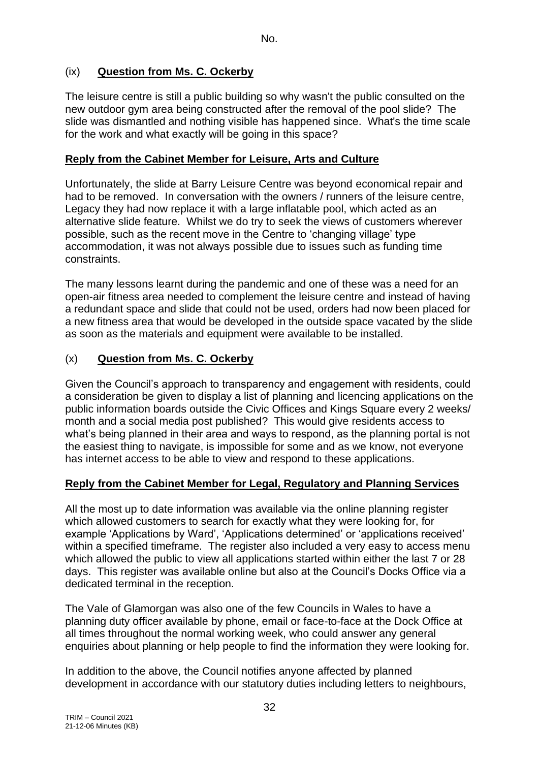## (ix) **Question from Ms. C. Ockerby**

The leisure centre is still a public building so why wasn't the public consulted on the new outdoor gym area being constructed after the removal of the pool slide? The slide was dismantled and nothing visible has happened since. What's the time scale for the work and what exactly will be going in this space?

#### **Reply from the Cabinet Member for Leisure, Arts and Culture**

Unfortunately, the slide at Barry Leisure Centre was beyond economical repair and had to be removed. In conversation with the owners / runners of the leisure centre, Legacy they had now replace it with a large inflatable pool, which acted as an alternative slide feature. Whilst we do try to seek the views of customers wherever possible, such as the recent move in the Centre to 'changing village' type accommodation, it was not always possible due to issues such as funding time constraints.

The many lessons learnt during the pandemic and one of these was a need for an open-air fitness area needed to complement the leisure centre and instead of having a redundant space and slide that could not be used, orders had now been placed for a new fitness area that would be developed in the outside space vacated by the slide as soon as the materials and equipment were available to be installed.

### (x) **Question from Ms. C. Ockerby**

Given the Council's approach to transparency and engagement with residents, could a consideration be given to display a list of planning and licencing applications on the public information boards outside the Civic Offices and Kings Square every 2 weeks/ month and a social media post published? This would give residents access to what's being planned in their area and ways to respond, as the planning portal is not the easiest thing to navigate, is impossible for some and as we know, not everyone has internet access to be able to view and respond to these applications.

### **Reply from the Cabinet Member for Legal, Regulatory and Planning Services**

All the most up to date information was available via the online planning register which allowed customers to search for exactly what they were looking for, for example 'Applications by Ward', 'Applications determined' or 'applications received' within a specified timeframe. The register also included a very easy to access menu which allowed the public to view all applications started within either the last 7 or 28 days. This register was available online but also at the Council's Docks Office via a dedicated terminal in the reception.

The Vale of Glamorgan was also one of the few Councils in Wales to have a planning duty officer available by phone, email or face-to-face at the Dock Office at all times throughout the normal working week, who could answer any general enquiries about planning or help people to find the information they were looking for.

In addition to the above, the Council notifies anyone affected by planned development in accordance with our statutory duties including letters to neighbours,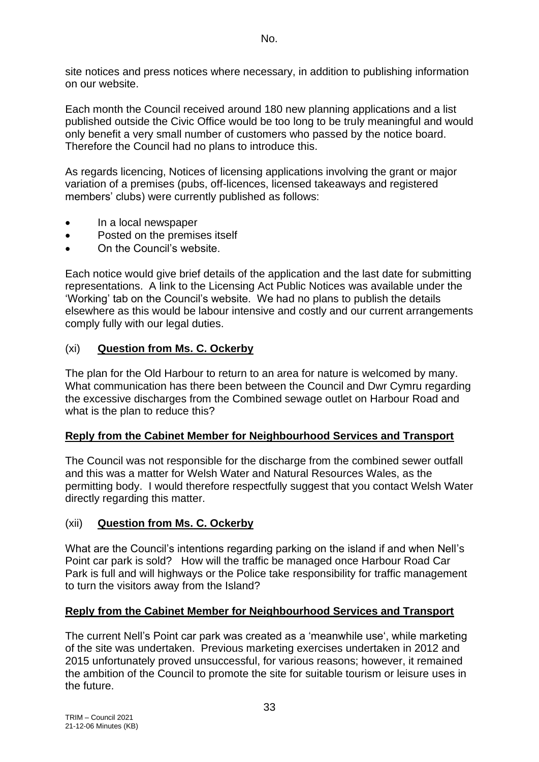No.

site notices and press notices where necessary, in addition to publishing information on our website.

Each month the Council received around 180 new planning applications and a list published outside the Civic Office would be too long to be truly meaningful and would only benefit a very small number of customers who passed by the notice board. Therefore the Council had no plans to introduce this.

As regards licencing, Notices of licensing applications involving the grant or major variation of a premises (pubs, off-licences, licensed takeaways and registered members' clubs) were currently published as follows:

- In a local newspaper
- Posted on the premises itself
- On the Council's website.

Each notice would give brief details of the application and the last date for submitting representations. A link to the Licensing Act Public Notices was available under the 'Working' tab on the Council's website. We had no plans to publish the details elsewhere as this would be labour intensive and costly and our current arrangements comply fully with our legal duties.

## (xi) **Question from Ms. C. Ockerby**

The plan for the Old Harbour to return to an area for nature is welcomed by many. What communication has there been between the Council and Dwr Cymru regarding the excessive discharges from the Combined sewage outlet on Harbour Road and what is the plan to reduce this?

### **Reply from the Cabinet Member for Neighbourhood Services and Transport**

The Council was not responsible for the discharge from the combined sewer outfall and this was a matter for Welsh Water and Natural Resources Wales, as the permitting body. I would therefore respectfully suggest that you contact Welsh Water directly regarding this matter.

### (xii) **Question from Ms. C. Ockerby**

What are the Council's intentions regarding parking on the island if and when Nell's Point car park is sold? How will the traffic be managed once Harbour Road Car Park is full and will highways or the Police take responsibility for traffic management to turn the visitors away from the Island?

### **Reply from the Cabinet Member for Neighbourhood Services and Transport**

The current Nell's Point car park was created as a 'meanwhile use', while marketing of the site was undertaken. Previous marketing exercises undertaken in 2012 and 2015 unfortunately proved unsuccessful, for various reasons; however, it remained the ambition of the Council to promote the site for suitable tourism or leisure uses in the future.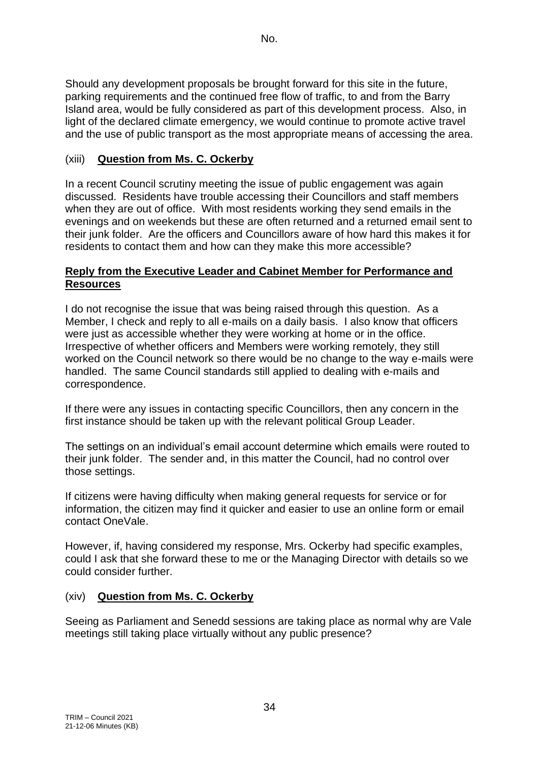Should any development proposals be brought forward for this site in the future, parking requirements and the continued free flow of traffic, to and from the Barry Island area, would be fully considered as part of this development process. Also, in light of the declared climate emergency, we would continue to promote active travel and the use of public transport as the most appropriate means of accessing the area.

## (xiii) **Question from Ms. C. Ockerby**

In a recent Council scrutiny meeting the issue of public engagement was again discussed. Residents have trouble accessing their Councillors and staff members when they are out of office. With most residents working they send emails in the evenings and on weekends but these are often returned and a returned email sent to their junk folder. Are the officers and Councillors aware of how hard this makes it for residents to contact them and how can they make this more accessible?

#### **Reply from the Executive Leader and Cabinet Member for Performance and Resources**

I do not recognise the issue that was being raised through this question. As a Member, I check and reply to all e-mails on a daily basis. I also know that officers were just as accessible whether they were working at home or in the office. Irrespective of whether officers and Members were working remotely, they still worked on the Council network so there would be no change to the way e-mails were handled. The same Council standards still applied to dealing with e-mails and correspondence.

If there were any issues in contacting specific Councillors, then any concern in the first instance should be taken up with the relevant political Group Leader.

The settings on an individual's email account determine which emails were routed to their junk folder. The sender and, in this matter the Council, had no control over those settings.

If citizens were having difficulty when making general requests for service or for information, the citizen may find it quicker and easier to use an online form or email contact OneVale.

However, if, having considered my response, Mrs. Ockerby had specific examples, could I ask that she forward these to me or the Managing Director with details so we could consider further.

### (xiv) **Question from Ms. C. Ockerby**

Seeing as Parliament and Senedd sessions are taking place as normal why are Vale meetings still taking place virtually without any public presence?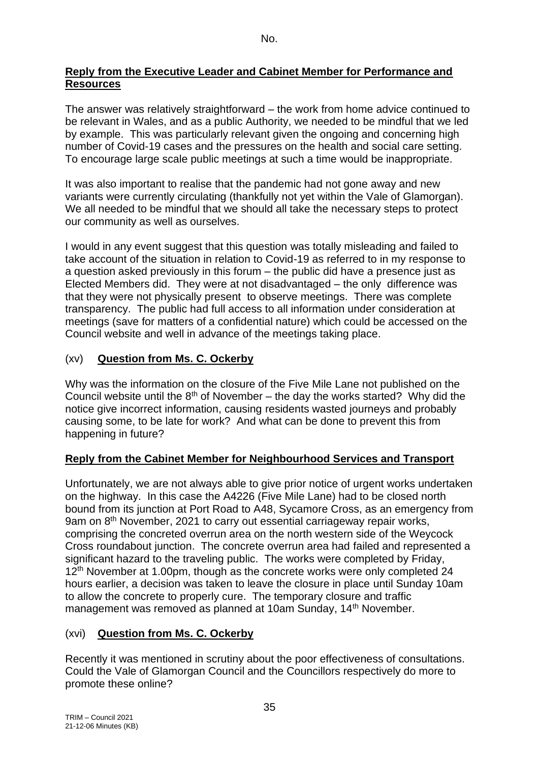## **Reply from the Executive Leader and Cabinet Member for Performance and Resources**

The answer was relatively straightforward – the work from home advice continued to be relevant in Wales, and as a public Authority, we needed to be mindful that we led by example. This was particularly relevant given the ongoing and concerning high number of Covid-19 cases and the pressures on the health and social care setting. To encourage large scale public meetings at such a time would be inappropriate.

It was also important to realise that the pandemic had not gone away and new variants were currently circulating (thankfully not yet within the Vale of Glamorgan). We all needed to be mindful that we should all take the necessary steps to protect our community as well as ourselves.

I would in any event suggest that this question was totally misleading and failed to take account of the situation in relation to Covid-19 as referred to in my response to a question asked previously in this forum – the public did have a presence just as Elected Members did. They were at not disadvantaged – the only difference was that they were not physically present to observe meetings. There was complete transparency. The public had full access to all information under consideration at meetings (save for matters of a confidential nature) which could be accessed on the Council website and well in advance of the meetings taking place.

# (xv) **Question from Ms. C. Ockerby**

Why was the information on the closure of the Five Mile Lane not published on the Council website until the  $8<sup>th</sup>$  of November – the day the works started? Why did the notice give incorrect information, causing residents wasted journeys and probably causing some, to be late for work? And what can be done to prevent this from happening in future?

# **Reply from the Cabinet Member for Neighbourhood Services and Transport**

Unfortunately, we are not always able to give prior notice of urgent works undertaken on the highway. In this case the A4226 (Five Mile Lane) had to be closed north bound from its junction at Port Road to A48, Sycamore Cross, as an emergency from 9am on 8th November, 2021 to carry out essential carriageway repair works, comprising the concreted overrun area on the north western side of the Weycock Cross roundabout junction. The concrete overrun area had failed and represented a significant hazard to the traveling public. The works were completed by Friday, 12<sup>th</sup> November at 1.00pm, though as the concrete works were only completed 24 hours earlier, a decision was taken to leave the closure in place until Sunday 10am to allow the concrete to properly cure. The temporary closure and traffic management was removed as planned at 10am Sunday, 14th November.

# (xvi) **Question from Ms. C. Ockerby**

Recently it was mentioned in scrutiny about the poor effectiveness of consultations. Could the Vale of Glamorgan Council and the Councillors respectively do more to promote these online?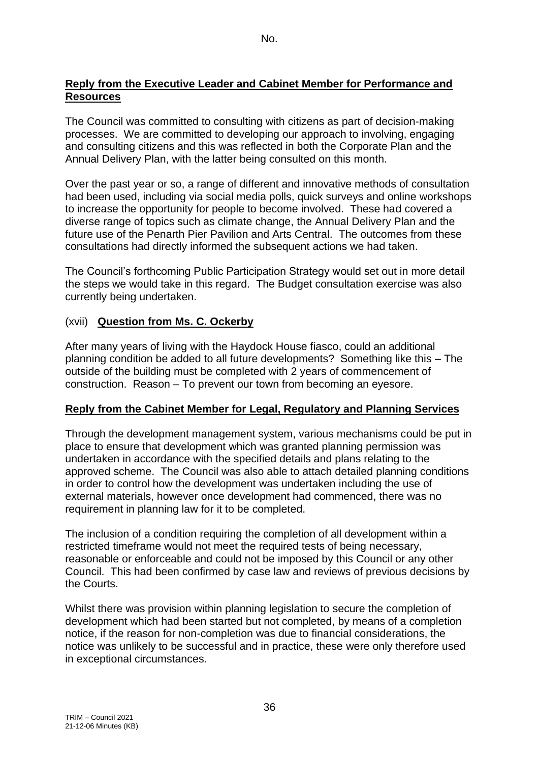#### **Reply from the Executive Leader and Cabinet Member for Performance and Resources**

The Council was committed to consulting with citizens as part of decision-making processes. We are committed to developing our approach to involving, engaging and consulting citizens and this was reflected in both the Corporate Plan and the Annual Delivery Plan, with the latter being consulted on this month.

Over the past year or so, a range of different and innovative methods of consultation had been used, including via social media polls, quick surveys and online workshops to increase the opportunity for people to become involved. These had covered a diverse range of topics such as climate change, the Annual Delivery Plan and the future use of the Penarth Pier Pavilion and Arts Central. The outcomes from these consultations had directly informed the subsequent actions we had taken.

The Council's forthcoming Public Participation Strategy would set out in more detail the steps we would take in this regard. The Budget consultation exercise was also currently being undertaken.

# (xvii) **Question from Ms. C. Ockerby**

After many years of living with the Haydock House fiasco, could an additional planning condition be added to all future developments? Something like this – The outside of the building must be completed with 2 years of commencement of construction. Reason – To prevent our town from becoming an eyesore.

# **Reply from the Cabinet Member for Legal, Regulatory and Planning Services**

Through the development management system, various mechanisms could be put in place to ensure that development which was granted planning permission was undertaken in accordance with the specified details and plans relating to the approved scheme. The Council was also able to attach detailed planning conditions in order to control how the development was undertaken including the use of external materials, however once development had commenced, there was no requirement in planning law for it to be completed.

The inclusion of a condition requiring the completion of all development within a restricted timeframe would not meet the required tests of being necessary, reasonable or enforceable and could not be imposed by this Council or any other Council. This had been confirmed by case law and reviews of previous decisions by the Courts.

Whilst there was provision within planning legislation to secure the completion of development which had been started but not completed, by means of a completion notice, if the reason for non-completion was due to financial considerations, the notice was unlikely to be successful and in practice, these were only therefore used in exceptional circumstances.